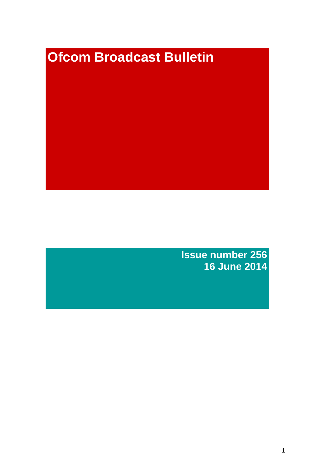# **Ofcom Broadcast Bulletin**

**Issue number 256 16 June 2014**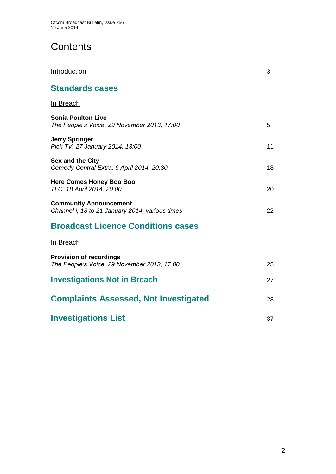# **Contents**

| Introduction                                                                     | 3  |
|----------------------------------------------------------------------------------|----|
| <b>Standards cases</b>                                                           |    |
| In Breach                                                                        |    |
| <b>Sonia Poulton Live</b><br>The People's Voice, 29 November 2013, 17:00         | 5  |
| Jerry Springer<br>Pick TV, 27 January 2014, 13:00                                | 11 |
| <b>Sex and the City</b><br>Comedy Central Extra, 6 April 2014, 20:30             | 18 |
| <b>Here Comes Honey Boo Boo</b><br>TLC, 18 April 2014, 20:00                     | 20 |
| <b>Community Announcement</b><br>Channel i, 18 to 21 January 2014, various times | 22 |
| <b>Broadcast Licence Conditions cases</b>                                        |    |
| In Breach                                                                        |    |
| <b>Provision of recordings</b><br>The People's Voice, 29 November 2013, 17:00    | 25 |
| <b>Investigations Not in Breach</b>                                              | 27 |
| <b>Complaints Assessed, Not Investigated</b>                                     | 28 |
| <b>Investigations List</b>                                                       | 37 |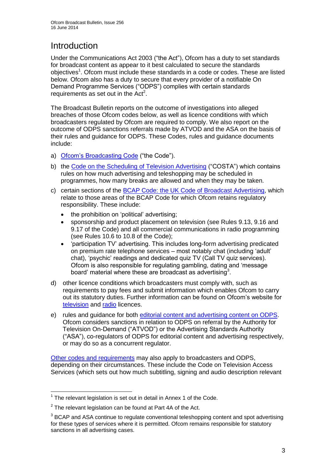# **Introduction**

Under the Communications Act 2003 ("the Act"), Ofcom has a duty to set standards for broadcast content as appear to it best calculated to secure the standards objectives<sup>1</sup>. Ofcom must include these standards in a code or codes. These are listed below. Ofcom also has a duty to secure that every provider of a notifiable On Demand Programme Services ("ODPS") complies with certain standards requirements as set out in the  $Act<sup>2</sup>$ .

The Broadcast Bulletin reports on the outcome of investigations into alleged breaches of those Ofcom codes below, as well as licence conditions with which broadcasters regulated by Ofcom are required to comply. We also report on the outcome of ODPS sanctions referrals made by ATVOD and the ASA on the basis of their rules and guidance for ODPS. These Codes, rules and guidance documents include:

- a) [Ofcom's Broadcasting Code](http://stakeholders.ofcom.org.uk/broadcasting/broadcast-codes/broadcast-code/) ("the Code").
- b) the [Code on the Scheduling of Television Advertising](http://stakeholders.ofcom.org.uk/broadcasting/broadcast-codes/advert-code/) ("COSTA") which contains rules on how much advertising and teleshopping may be scheduled in programmes, how many breaks are allowed and when they may be taken.
- c) certain sections of the [BCAP Code: the UK Code of Broadcast Advertising,](http://www.bcap.org.uk/Advertising-Codes/Broadcast-HTML.aspx) which relate to those areas of the BCAP Code for which Ofcom retains regulatory responsibility. These include:
	- the prohibition on 'political' advertising:
	- sponsorship and product placement on television (see Rules 9.13, 9.16 and 9.17 of the Code) and all commercial communications in radio programming (see Rules 10.6 to 10.8 of the Code);
	- 'participation TV' advertising. This includes long-form advertising predicated on premium rate telephone services – most notably chat (including 'adult' chat), 'psychic' readings and dedicated quiz TV (Call TV quiz services). Ofcom is also responsible for regulating gambling, dating and 'message board' material where these are broadcast as advertising<sup>3</sup>.
- d) other licence conditions which broadcasters must comply with, such as requirements to pay fees and submit information which enables Ofcom to carry out its statutory duties. Further information can be found on Ofcom's website for [television](http://licensing.ofcom.org.uk/tv-broadcast-licences/) and [radio](http://licensing.ofcom.org.uk/radio-broadcast-licensing/) licences.
- e) rules and guidance for both [editorial content and advertising content on ODPS.](http://www.atvod.co.uk/uploads/files/ATVOD_Rules_and_Guidance_Ed_2.0_May_2012.pdf) Ofcom considers sanctions in relation to ODPS on referral by the Authority for Television On-Demand ("ATVOD") or the Advertising Standards Authority ("ASA"), co-regulators of ODPS for editorial content and advertising respectively, or may do so as a concurrent regulator.

[Other codes and requirements](http://stakeholders.ofcom.org.uk/broadcasting/broadcast-codes/) may also apply to broadcasters and ODPS, depending on their circumstances. These include the Code on Television Access Services (which sets out how much subtitling, signing and audio description relevant

<sup>1</sup>  $1$  The relevant legislation is set out in detail in Annex 1 of the Code.

 $2$  The relevant legislation can be found at Part 4A of the Act.

 $3$  BCAP and ASA continue to regulate conventional teleshopping content and spot advertising for these types of services where it is permitted. Ofcom remains responsible for statutory sanctions in all advertising cases.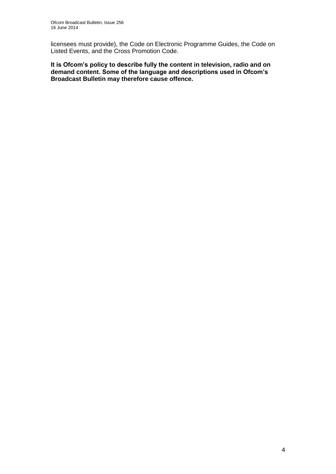licensees must provide), the Code on Electronic Programme Guides, the Code on Listed Events, and the Cross Promotion Code.

**It is Ofcom's policy to describe fully the content in television, radio and on demand content. Some of the language and descriptions used in Ofcom's Broadcast Bulletin may therefore cause offence.**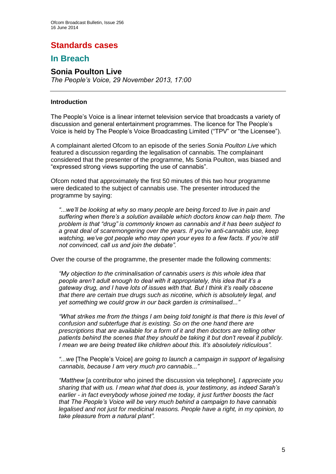## **Standards cases**

## **In Breach**

#### **Sonia Poulton Live** *The People's Voice, 29 November 2013, 17:00*

#### **Introduction**

The People's Voice is a linear internet television service that broadcasts a variety of discussion and general entertainment programmes. The licence for The People's Voice is held by The People's Voice Broadcasting Limited ("TPV" or "the Licensee").

A complainant alerted Ofcom to an episode of the series *Sonia Poulton Live* which featured a discussion regarding the legalisation of cannabis. The complainant considered that the presenter of the programme, Ms Sonia Poulton, was biased and "expressed strong views supporting the use of cannabis".

Ofcom noted that approximately the first 50 minutes of this two hour programme were dedicated to the subject of cannabis use. The presenter introduced the programme by saying:

*"...we'll be looking at why so many people are being forced to live in pain and suffering when there's a solution available which doctors know can help them. The problem is that "drug" is commonly known as cannabis and it has been subject to a great deal of scaremongering over the years. If you're anti-cannabis use, keep watching, we've got people who may open your eyes to a few facts. If you're still not convinced, call us and join the debate".* 

Over the course of the programme, the presenter made the following comments:

*"My objection to the criminalisation of cannabis users is this whole idea that people aren't adult enough to deal with it appropriately, this idea that it's a gateway drug, and I have lots of issues with that. But I think it's really obscene that there are certain true drugs such as nicotine, which is absolutely legal, and yet something we could grow in our back garden is criminalised..."* 

*"What strikes me from the things I am being told tonight is that there is this level of confusion and subterfuge that is existing. So on the one hand there are prescriptions that are available for a form of it and then doctors are telling other patients behind the scenes that they should be taking it but don't reveal it publicly. I mean we are being treated like children about this. It's absolutely ridiculous".* 

*"...we* [The People's Voice] *are going to launch a campaign in support of legalising cannabis, because I am very much pro cannabis..."* 

*"Matthew* [a contributor who joined the discussion via telephone]*, I appreciate you sharing that with us. I mean what that does is, your testimony, as indeed Sarah's earlier - in fact everybody whose joined me today, it just further boosts the fact that The People's Voice will be very much behind a campaign to have cannabis legalised and not just for medicinal reasons. People have a right, in my opinion, to take pleasure from a natural plant".*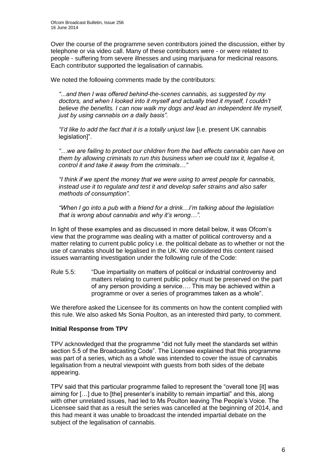Over the course of the programme seven contributors joined the discussion, either by telephone or via video call. Many of these contributors were - or were related to people - suffering from severe illnesses and using marijuana for medicinal reasons. Each contributor supported the legalisation of cannabis.

We noted the following comments made by the contributors:

*"...and then I was offered behind-the-scenes cannabis, as suggested by my doctors, and when I looked into it myself and actually tried it myself, I couldn't believe the benefits. I can now walk my dogs and lead an independent life myself, just by using cannabis on a daily basis".* 

*"I'd like to add the fact that it is a totally unjust law* [i.e. present UK cannabis legislation]".

*"…we are failing to protect our children from the bad effects cannabis can have on them by allowing criminals to run this business when we could tax it, legalise it, control it and take it away from the criminals…"* 

*"I think if we spent the money that we were using to arrest people for cannabis, instead use it to regulate and test it and develop safer strains and also safer methods of consumption".* 

*"When I go into a pub with a friend for a drink…I'm talking about the legislation that is wrong about cannabis and why it's wrong…".* 

In light of these examples and as discussed in more detail below, it was Ofcom's view that the programme was dealing with a matter of political controversy and a matter relating to current public policy i.e. the political debate as to whether or not the use of cannabis should be legalised in the UK. We considered this content raised issues warranting investigation under the following rule of the Code:

Rule 5.5: "Due impartiality on matters of political or industrial controversy and matters relating to current public policy must be preserved on the part of any person providing a service…. This may be achieved within a programme or over a series of programmes taken as a whole".

We therefore asked the Licensee for its comments on how the content complied with this rule. We also asked Ms Sonia Poulton, as an interested third party, to comment.

#### **Initial Response from TPV**

TPV acknowledged that the programme "did not fully meet the standards set within section 5.5 of the Broadcasting Code". The Licensee explained that this programme was part of a series, which as a whole was intended to cover the issue of cannabis legalisation from a neutral viewpoint with guests from both sides of the debate appearing.

TPV said that this particular programme failed to represent the "overall tone [it] was aiming for […] due to [the] presenter's inability to remain impartial" and this, along with other unrelated issues, had led to Ms Poulton leaving The People's Voice. The Licensee said that as a result the series was cancelled at the beginning of 2014, and this had meant it was unable to broadcast the intended impartial debate on the subject of the legalisation of cannabis.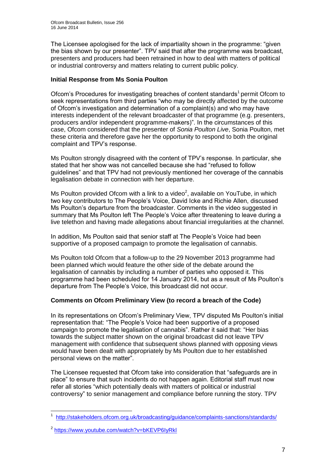The Licensee apologised for the lack of impartiality shown in the programme: "given the bias shown by our presenter". TPV said that after the programme was broadcast, presenters and producers had been retrained in how to deal with matters of political or industrial controversy and matters relating to current public policy.

#### **Initial Response from Ms Sonia Poulton**

Ofcom's Procedures for investigating breaches of content standards<sup>1</sup> permit Ofcom to seek representations from third parties "who may be directly affected by the outcome of Ofcom's investigation and determination of a complaint(s) and who may have interests independent of the relevant broadcaster of that programme (e.g. presenters, producers and/or independent programme-makers)". In the circumstances of this case, Ofcom considered that the presenter of *Sonia Poulton Live*, Sonia Poulton, met these criteria and therefore gave her the opportunity to respond to both the original complaint and TPV's response.

Ms Poulton strongly disagreed with the content of TPV's response. In particular, she stated that her show was not cancelled because she had "refused to follow guidelines" and that TPV had not previously mentioned her coverage of the cannabis legalisation debate in connection with her departure.

Ms Poulton provided Ofcom with a link to a video<sup>2</sup>, available on YouTube, in which two key contributors to The People's Voice, David Icke and Richie Allen, discussed Ms Poulton's departure from the broadcaster. Comments in the video suggested in summary that Ms Poulton left The People's Voice after threatening to leave during a live telethon and having made allegations about financial irregularities at the channel.

In addition, Ms Poulton said that senior staff at The People's Voice had been supportive of a proposed campaign to promote the legalisation of cannabis.

Ms Poulton told Ofcom that a follow-up to the 29 November 2013 programme had been planned which would feature the other side of the debate around the legalisation of cannabis by including a number of parties who opposed it. This programme had been scheduled for 14 January 2014, but as a result of Ms Poulton's departure from The People's Voice, this broadcast did not occur.

#### **Comments on Ofcom Preliminary View (to record a breach of the Code)**

In its representations on Ofcom's Preliminary View, TPV disputed Ms Poulton's initial representation that: "The People's Voice had been supportive of a proposed campaign to promote the legalisation of cannabis". Rather it said that: "Her bias towards the subject matter shown on the original broadcast did not leave TPV management with confidence that subsequent shows planned with opposing views would have been dealt with appropriately by Ms Poulton due to her established personal views on the matter".

The Licensee requested that Ofcom take into consideration that "safeguards are in place" to ensure that such incidents do not happen again. Editorial staff must now refer all stories "which potentially deals with matters of political or industrial controversy" to senior management and compliance before running the story. TPV

<sup>1</sup> 1 <http://stakeholders.ofcom.org.uk/broadcasting/guidance/complaints-sanctions/standards/>

<sup>&</sup>lt;sup>2</sup> <https://www.youtube.com/watch?v=bKEVP6IyRkl>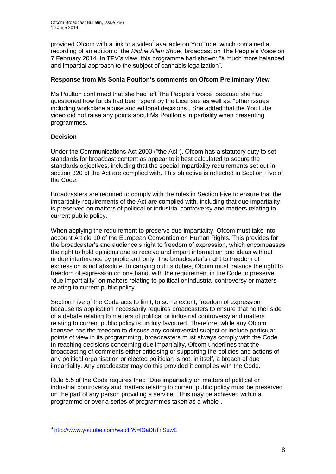provided Ofcom with a link to a video<sup>3</sup> available on YouTube, which contained a recording of an edition of the *Richie Allen Show*, broadcast on The People's Voice on 7 February 2014. In TPV's view, this programme had shown: "a much more balanced and impartial approach to the subject of cannabis legalization".

#### **Response from Ms Sonia Poulton's comments on Ofcom Preliminary View**

Ms Poulton confirmed that she had left The People's Voice because she had questioned how funds had been spent by the Licensee as well as: "other issues including workplace abuse and editorial decisions". She added that the YouTube video did not raise any points about Ms Poulton's impartiality when presenting programmes.

#### **Decision**

Under the Communications Act 2003 ("the Act"), Ofcom has a statutory duty to set standards for broadcast content as appear to it best calculated to secure the standards objectives, including that the special impartiality requirements set out in section 320 of the Act are complied with. This objective is reflected in Section Five of the Code.

Broadcasters are required to comply with the rules in Section Five to ensure that the impartiality requirements of the Act are complied with, including that due impartiality is preserved on matters of political or industrial controversy and matters relating to current public policy.

When applying the requirement to preserve due impartiality, Ofcom must take into account Article 10 of the European Convention on Human Rights. This provides for the broadcaster's and audience's right to freedom of expression, which encompasses the right to hold opinions and to receive and impart information and ideas without undue interference by public authority. The broadcaster's right to freedom of expression is not absolute. In carrying out its duties, Ofcom must balance the right to freedom of expression on one hand, with the requirement in the Code to preserve "due impartiality" on matters relating to political or industrial controversy or matters relating to current public policy.

Section Five of the Code acts to limit, to some extent, freedom of expression because its application necessarily requires broadcasters to ensure that neither side of a debate relating to matters of political or industrial controversy and matters relating to current public policy is unduly favoured. Therefore, while any Ofcom licensee has the freedom to discuss any controversial subject or include particular points of view in its programming, broadcasters must always comply with the Code. In reaching decisions concerning due impartiality, Ofcom underlines that the broadcasting of comments either criticising or supporting the policies and actions of any political organisation or elected politician is not, in itself, a breach of due impartiality. Any broadcaster may do this provided it complies with the Code.

Rule 5.5 of the Code requires that: "Due impartiality on matters of political or industrial controversy and matters relating to current public policy must be preserved on the part of any person providing a service...This may be achieved within a programme or over a series of programmes taken as a whole".

 3 <http://www.youtube.com/watch?v=lGaDhTnSuwE>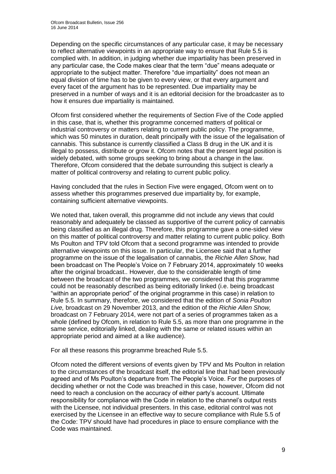Depending on the specific circumstances of any particular case, it may be necessary to reflect alternative viewpoints in an appropriate way to ensure that Rule 5.5 is complied with. In addition, in judging whether due impartiality has been preserved in any particular case, the Code makes clear that the term "due" means adequate or appropriate to the subject matter. Therefore "due impartiality" does not mean an equal division of time has to be given to every view, or that every argument and every facet of the argument has to be represented. Due impartiality may be preserved in a number of ways and it is an editorial decision for the broadcaster as to how it ensures due impartiality is maintained.

Ofcom first considered whether the requirements of Section Five of the Code applied in this case, that is, whether this programme concerned matters of political or industrial controversy or matters relating to current public policy. The programme, which was 50 minutes in duration, dealt principally with the issue of the legalisation of cannabis. This substance is currently classified a Class B drug in the UK and it is illegal to possess, distribute or grow it. Ofcom notes that the present legal position is widely debated, with some groups seeking to bring about a change in the law. Therefore, Ofcom considered that the debate surrounding this subject is clearly a matter of political controversy and relating to current public policy.

Having concluded that the rules in Section Five were engaged, Ofcom went on to assess whether this programmes preserved due impartiality by, for example, containing sufficient alternative viewpoints.

We noted that, taken overall, this programme did not include any views that could reasonably and adequately be classed as supportive of the current policy of cannabis being classified as an illegal drug. Therefore, this programme gave a one-sided view on this matter of political controversy and matter relating to current public policy. Both Ms Poulton and TPV told Ofcom that a second programme was intended to provide alternative viewpoints on this issue. In particular, the Licensee said that a further programme on the issue of the legalisation of cannabis, the *Richie Allen Show,* had been broadcast on The People's Voice on 7 February 2014, approximately 10 weeks after the original broadcast.. However, due to the considerable length of time between the broadcast of the two programmes, we considered that this programme could not be reasonably described as being editorially linked (i.e. being broadcast "within an appropriate period" of the original programme in this case) in relation to Rule 5.5. In summary, therefore, we considered that the edition of *Sonia Poulton Live,* broadcast on 29 November 2013, and the edition of the *Richie Allen Show,*  broadcast on 7 February 2014, were not part of a series of programmes taken as a whole (defined by Ofcom, in relation to Rule 5.5, as more than one programme in the same service, editorially linked, dealing with the same or related issues within an appropriate period and aimed at a like audience).

For all these reasons this programme breached Rule 5.5.

Ofcom noted the different versions of events given by TPV and Ms Poulton in relation to the circumstances of the broadcast itself, the editorial line that had been previously agreed and of Ms Poulton's departure from The People's Voice. For the purposes of deciding whether or not the Code was breached in this case, however, Ofcom did not need to reach a conclusion on the accuracy of either party's account. Ultimate responsibility for compliance with the Code in relation to the channel's output rests with the Licensee, not individual presenters. In this case, editorial control was not exercised by the Licensee in an effective way to secure compliance with Rule 5.5 of the Code: TPV should have had procedures in place to ensure compliance with the Code was maintained.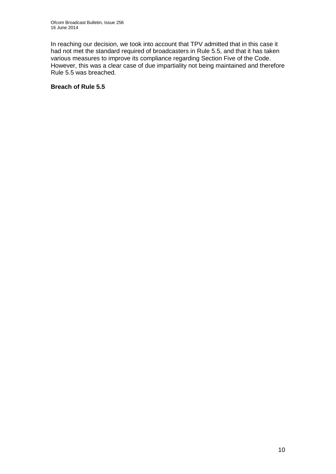In reaching our decision, we took into account that TPV admitted that in this case it had not met the standard required of broadcasters in Rule 5.5, and that it has taken various measures to improve its compliance regarding Section Five of the Code. However, this was a clear case of due impartiality not being maintained and therefore Rule 5.5 was breached.

#### **Breach of Rule 5.5**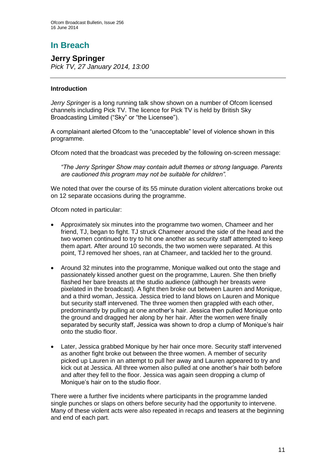# **In Breach**

**Jerry Springer** *Pick TV, 27 January 2014, 13:00*

#### **Introduction**

*Jerry Springer* is a long running talk show shown on a number of Ofcom licensed channels including Pick TV. The licence for Pick TV is held by British Sky Broadcasting Limited ("Sky" or "the Licensee").

A complainant alerted Ofcom to the "unacceptable" level of violence shown in this programme.

Ofcom noted that the broadcast was preceded by the following on-screen message:

*"The Jerry Springer Show may contain adult themes or strong language. Parents are cautioned this program may not be suitable for children".*

We noted that over the course of its 55 minute duration violent altercations broke out on 12 separate occasions during the programme.

Ofcom noted in particular:

- Approximately six minutes into the programme two women, Chameer and her friend, TJ, began to fight. TJ struck Chameer around the side of the head and the two women continued to try to hit one another as security staff attempted to keep them apart. After around 10 seconds, the two women were separated. At this point, TJ removed her shoes, ran at Chameer, and tackled her to the ground.
- Around 32 minutes into the programme, Monique walked out onto the stage and passionately kissed another guest on the programme, Lauren. She then briefly flashed her bare breasts at the studio audience (although her breasts were pixelated in the broadcast). A fight then broke out between Lauren and Monique, and a third woman, Jessica. Jessica tried to land blows on Lauren and Monique but security staff intervened. The three women then grappled with each other, predominantly by pulling at one another's hair. Jessica then pulled Monique onto the ground and dragged her along by her hair. After the women were finally separated by security staff, Jessica was shown to drop a clump of Monique's hair onto the studio floor.
- Later, Jessica grabbed Monique by her hair once more. Security staff intervened as another fight broke out between the three women. A member of security picked up Lauren in an attempt to pull her away and Lauren appeared to try and kick out at Jessica. All three women also pulled at one another's hair both before and after they fell to the floor. Jessica was again seen dropping a clump of Monique's hair on to the studio floor.

There were a further five incidents where participants in the programme landed single punches or slaps on others before security had the opportunity to intervene. Many of these violent acts were also repeated in recaps and teasers at the beginning and end of each part.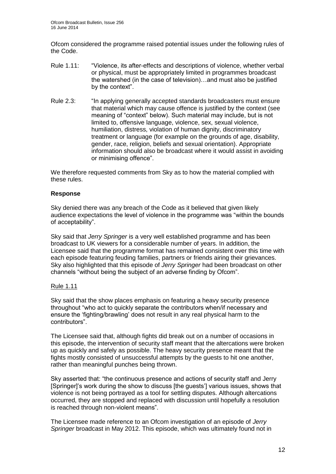Ofcom considered the programme raised potential issues under the following rules of the Code.

- Rule 1.11: "Violence, its after-effects and descriptions of violence, whether verbal or physical, must be appropriately limited in programmes broadcast the watershed (in the case of television)…and must also be justified by the context".
- Rule 2.3: "In applying generally accepted standards broadcasters must ensure that material which may cause offence is justified by the context (see meaning of "context" below). Such material may include, but is not limited to, offensive language, violence, sex, sexual violence, humiliation, distress, violation of human dignity, discriminatory treatment or language (for example on the grounds of age, disability, gender, race, religion, beliefs and sexual orientation). Appropriate information should also be broadcast where it would assist in avoiding or minimising offence".

We therefore requested comments from Sky as to how the material complied with these rules.

#### **Response**

Sky denied there was any breach of the Code as it believed that given likely audience expectations the level of violence in the programme was "within the bounds of acceptability".

Sky said that *Jerry Springer* is a very well established programme and has been broadcast to UK viewers for a considerable number of years. In addition, the Licensee said that the programme format has remained consistent over this time with each episode featuring feuding families, partners or friends airing their grievances. Sky also highlighted that this episode of *Jerry Springer* had been broadcast on other channels "without being the subject of an adverse finding by Ofcom".

#### Rule 1.11

Sky said that the show places emphasis on featuring a heavy security presence throughout "who act to quickly separate the contributors when/if necessary and ensure the 'fighting/brawling' does not result in any real physical harm to the contributors".

The Licensee said that, although fights did break out on a number of occasions in this episode, the intervention of security staff meant that the altercations were broken up as quickly and safely as possible. The heavy security presence meant that the fights mostly consisted of unsuccessful attempts by the guests to hit one another, rather than meaningful punches being thrown.

Sky asserted that: "the continuous presence and actions of security staff and Jerry [Springer]'s work during the show to discuss [the guests'] various issues, shows that violence is not being portrayed as a tool for settling disputes. Although altercations occurred, they are stopped and replaced with discussion until hopefully a resolution is reached through non-violent means".

The Licensee made reference to an Ofcom investigation of an episode of *Jerry Springer* broadcast in May 2012. This episode, which was ultimately found not in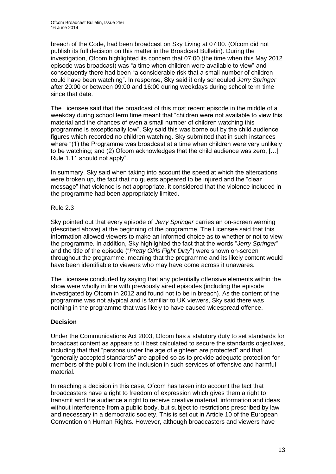breach of the Code, had been broadcast on Sky Living at 07:00. (Ofcom did not publish its full decision on this matter in the Broadcast Bulletin). During the investigation, Ofcom highlighted its concern that 07:00 (the time when this May 2012 episode was broadcast) was "a time when children were available to view" and consequently there had been "a considerable risk that a small number of children could have been watching". In response, Sky said it only scheduled *Jerry Springer* after 20:00 or between 09:00 and 16:00 during weekdays during school term time since that date.

The Licensee said that the broadcast of this most recent episode in the middle of a weekday during school term time meant that "children were not available to view this material and the chances of even a small number of children watching this programme is exceptionally low". Sky said this was borne out by the child audience figures which recorded no children watching. Sky submitted that in such instances where "(1) the Programme was broadcast at a time when children were very unlikely to be watching; and (2) Ofcom acknowledges that the child audience was zero, […] Rule 1.11 should not apply".

In summary, Sky said when taking into account the speed at which the altercations were broken up, the fact that no guests appeared to be injured and the "clear message" that violence is not appropriate, it considered that the violence included in the programme had been appropriately limited.

#### Rule 2.3

Sky pointed out that every episode of *Jerry Springer* carries an on-screen warning (described above) at the beginning of the programme. The Licensee said that this information allowed viewers to make an informed choice as to whether or not to view the programme. In addition, Sky highlighted the fact that the words "*Jerry Springer*" and the title of the episode ("*Pretty Girls Fight Dirty*") were shown on-screen throughout the programme, meaning that the programme and its likely content would have been identifiable to viewers who may have come across it unawares.

The Licensee concluded by saying that any potentially offensive elements within the show were wholly in line with previously aired episodes (including the episode investigated by Ofcom in 2012 and found not to be in breach). As the content of the programme was not atypical and is familiar to UK viewers, Sky said there was nothing in the programme that was likely to have caused widespread offence.

#### **Decision**

Under the Communications Act 2003, Ofcom has a statutory duty to set standards for broadcast content as appears to it best calculated to secure the standards objectives, including that that "persons under the age of eighteen are protected" and that "generally accepted standards" are applied so as to provide adequate protection for members of the public from the inclusion in such services of offensive and harmful material.

In reaching a decision in this case, Ofcom has taken into account the fact that broadcasters have a right to freedom of expression which gives them a right to transmit and the audience a right to receive creative material, information and ideas without interference from a public body, but subject to restrictions prescribed by law and necessary in a democratic society. This is set out in Article 10 of the European Convention on Human Rights. However, although broadcasters and viewers have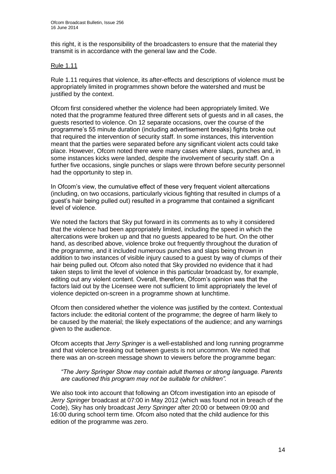this right, it is the responsibility of the broadcasters to ensure that the material they transmit is in accordance with the general law and the Code.

#### Rule 1.11

Rule 1.11 requires that violence, its after-effects and descriptions of violence must be appropriately limited in programmes shown before the watershed and must be justified by the context.

Ofcom first considered whether the violence had been appropriately limited. We noted that the programme featured three different sets of guests and in all cases, the guests resorted to violence. On 12 separate occasions, over the course of the programme's 55 minute duration (including advertisement breaks) fights broke out that required the intervention of security staff. In some instances, this intervention meant that the parties were separated before any significant violent acts could take place. However, Ofcom noted there were many cases where slaps, punches and, in some instances kicks were landed, despite the involvement of security staff. On a further five occasions, single punches or slaps were thrown before security personnel had the opportunity to step in.

In Ofcom's view, the cumulative effect of these very frequent violent altercations (including, on two occasions, particularly vicious fighting that resulted in clumps of a guest's hair being pulled out) resulted in a programme that contained a significant level of violence.

We noted the factors that Sky put forward in its comments as to why it considered that the violence had been appropriately limited, including the speed in which the altercations were broken up and that no guests appeared to be hurt. On the other hand, as described above, violence broke out frequently throughout the duration of the programme, and it included numerous punches and slaps being thrown in addition to two instances of visible injury caused to a guest by way of clumps of their hair being pulled out. Ofcom also noted that Sky provided no evidence that it had taken steps to limit the level of violence in this particular broadcast by, for example, editing out any violent content. Overall, therefore, Ofcom's opinion was that the factors laid out by the Licensee were not sufficient to limit appropriately the level of violence depicted on-screen in a programme shown at lunchtime.

Ofcom then considered whether the violence was justified by the context. Contextual factors include: the editorial content of the programme; the degree of harm likely to be caused by the material; the likely expectations of the audience; and any warnings given to the audience.

Ofcom accepts that *Jerry Springer* is a well-established and long running programme and that violence breaking out between guests is not uncommon. We noted that there was an on-screen message shown to viewers before the programme began:

*"The Jerry Springer Show may contain adult themes or strong language. Parents are cautioned this program may not be suitable for children".*

We also took into account that following an Ofcom investigation into an episode of *Jerry Springer* broadcast at 07:00 in May 2012 (which was found not in breach of the Code), Sky has only broadcast *Jerry Springer* after 20:00 or between 09:00 and 16:00 during school term time. Ofcom also noted that the child audience for this edition of the programme was zero.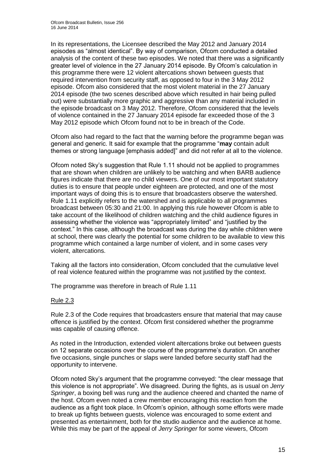In its representations, the Licensee described the May 2012 and January 2014 episodes as "almost identical". By way of comparison, Ofcom conducted a detailed analysis of the content of these two episodes. We noted that there was a significantly greater level of violence in the 27 January 2014 episode. By Ofcom's calculation in this programme there were 12 violent altercations shown between guests that required intervention from security staff, as opposed to four in the 3 May 2012 episode. Ofcom also considered that the most violent material in the 27 January 2014 episode (the two scenes described above which resulted in hair being pulled out) were substantially more graphic and aggressive than any material included in the episode broadcast on 3 May 2012. Therefore, Ofcom considered that the levels of violence contained in the 27 January 2014 episode far exceeded those of the 3 May 2012 episode which Ofcom found not to be in breach of the Code.

Ofcom also had regard to the fact that the warning before the programme began was general and generic. It said for example that the programme "**may** contain adult themes or strong language [emphasis added]" and did not refer at all to the violence.

Ofcom noted Sky's suggestion that Rule 1.11 should not be applied to programmes that are shown when children are unlikely to be watching and when BARB audience figures indicate that there are no child viewers. One of our most important statutory duties is to ensure that people under eighteen are protected, and one of the most important ways of doing this is to ensure that broadcasters observe the watershed. Rule 1.11 explicitly refers to the watershed and is applicable to all programmes broadcast between 05:30 and 21:00. In applying this rule however Ofcom is able to take account of the likelihood of children watching and the child audience figures in assessing whether the violence was "appropriately limited" and "justified by the context." In this case, although the broadcast was during the day while children were at school, there was clearly the potential for some children to be available to view this programme which contained a large number of violent, and in some cases very violent, altercations.

Taking all the factors into consideration, Ofcom concluded that the cumulative level of real violence featured within the programme was not justified by the context.

The programme was therefore in breach of Rule 1.11

#### Rule 2.3

Rule 2.3 of the Code requires that broadcasters ensure that material that may cause offence is justified by the context. Ofcom first considered whether the programme was capable of causing offence.

As noted in the Introduction, extended violent altercations broke out between guests on 12 separate occasions over the course of the programme's duration. On another five occasions, single punches or slaps were landed before security staff had the opportunity to intervene.

Ofcom noted Sky's argument that the programme conveyed: "the clear message that this violence is not appropriate". We disagreed. During the fights, as is usual on *Jerry Springer*, a boxing bell was rung and the audience cheered and chanted the name of the host. Ofcom even noted a crew member encouraging this reaction from the audience as a fight took place. In Ofcom's opinion, although some efforts were made to break up fights between guests, violence was encouraged to some extent and presented as entertainment, both for the studio audience and the audience at home. While this may be part of the appeal of *Jerry Springer* for some viewers, Ofcom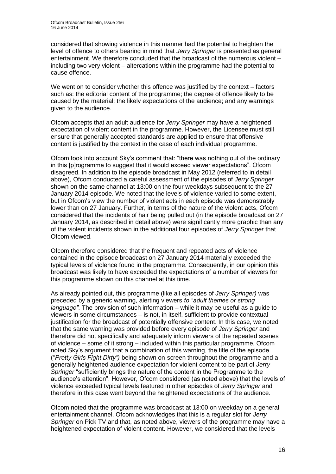considered that showing violence in this manner had the potential to heighten the level of offence to others bearing in mind that *Jerry Springer* is presented as general entertainment. We therefore concluded that the broadcast of the numerous violent – including two very violent – altercations within the programme had the potential to cause offence.

We went on to consider whether this offence was justified by the context – factors such as: the editorial content of the programme; the degree of offence likely to be caused by the material; the likely expectations of the audience; and any warnings given to the audience.

Ofcom accepts that an adult audience for *Jerry Springer* may have a heightened expectation of violent content in the programme. However, the Licensee must still ensure that generally accepted standards are applied to ensure that offensive content is justified by the context in the case of each individual programme.

Ofcom took into account Sky's comment that: "there was nothing out of the ordinary in this [p]rogramme to suggest that it would exceed viewer expectations". Ofcom disagreed. In addition to the episode broadcast in May 2012 (referred to in detail above), Ofcom conducted a careful assessment of the episodes of *Jerry Springer*  shown on the same channel at 13:00 on the four weekdays subsequent to the 27 January 2014 episode. We noted that the levels of violence varied to some extent, but in Ofcom's view the number of violent acts in each episode was demonstrably lower than on 27 January. Further, in terms of the nature of the violent acts, Ofcom considered that the incidents of hair being pulled out (in the episode broadcast on 27 January 2014, as described in detail above) were significantly more graphic than any of the violent incidents shown in the additional four episodes of *Jerry Springer* that Ofcom viewed.

Ofcom therefore considered that the frequent and repeated acts of violence contained in the episode broadcast on 27 January 2014 materially exceeded the typical levels of violence found in the programme. Consequently, in our opinion this broadcast was likely to have exceeded the expectations of a number of viewers for this programme shown on this channel at this time.

As already pointed out, this programme (like all episodes of *Jerry Springer)* was preceded by a generic warning, alerting viewers *to "adult themes or strong language"*. The provision of such information – while it may be useful as a guide to viewers in some circumstances – is not, in itself, sufficient to provide contextual justification for the broadcast of potentially offensive content. In this case, we noted that the same warning was provided before every episode of *Jerry Springer* and therefore did not specifically and adequately inform viewers of the repeated scenes of violence – some of it strong – included within this particular programme. Ofcom noted Sky's argument that a combination of this warning, the title of the episode ("*Pretty Girls Fight Dirty")* being shown on-screen throughout the programme and a generally heightened audience expectation for violent content to be part of *Jerry Springer* "sufficiently brings the nature of the content in the Programme to the audience's attention". However, Ofcom considered (as noted above) that the levels of violence exceeded typical levels featured in other episodes of *Jerry Springer* and therefore in this case went beyond the heightened expectations of the audience.

Ofcom noted that the programme was broadcast at 13:00 on weekday on a general entertainment channel. Ofcom acknowledges that this is a regular slot for *Jerry Springer* on Pick TV and that, as noted above, viewers of the programme may have a heightened expectation of violent content. However, we considered that the levels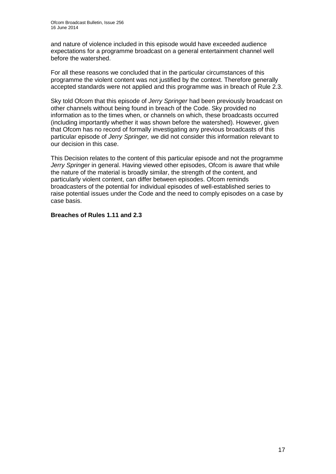and nature of violence included in this episode would have exceeded audience expectations for a programme broadcast on a general entertainment channel well before the watershed.

For all these reasons we concluded that in the particular circumstances of this programme the violent content was not justified by the context. Therefore generally accepted standards were not applied and this programme was in breach of Rule 2.3.

Sky told Ofcom that this episode of *Jerry Springer* had been previously broadcast on other channels without being found in breach of the Code. Sky provided no information as to the times when, or channels on which, these broadcasts occurred (including importantly whether it was shown before the watershed). However, given that Ofcom has no record of formally investigating any previous broadcasts of this particular episode of *Jerry Springer,* we did not consider this information relevant to our decision in this case.

This Decision relates to the content of this particular episode and not the programme *Jerry Springer* in general. Having viewed other episodes, Ofcom is aware that while the nature of the material is broadly similar, the strength of the content, and particularly violent content, can differ between episodes. Ofcom reminds broadcasters of the potential for individual episodes of well-established series to raise potential issues under the Code and the need to comply episodes on a case by case basis.

#### **Breaches of Rules 1.11 and 2.3**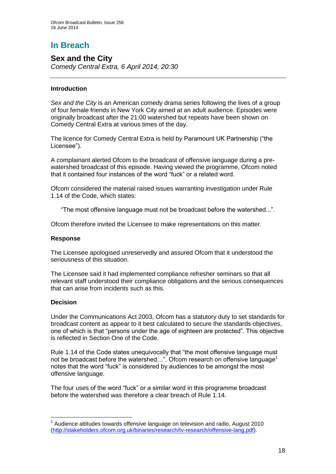# **In Breach**

**Sex and the City** *Comedy Central Extra, 6 April 2014, 20:30*

#### **Introduction**

*Sex and the City* is an American comedy drama series following the lives of a group of four female friends in New York City aimed at an adult audience. Episodes were originally broadcast after the 21:00 watershed but repeats have been shown on Comedy Central Extra at various times of the day.

The licence for Comedy Central Extra is held by Paramount UK Partnership ("the Licensee").

A complainant alerted Ofcom to the broadcast of offensive language during a prewatershed broadcast of this episode. Having viewed the programme, Ofcom noted that it contained four instances of the word "fuck" or a related word.

Ofcom considered the material raised issues warranting investigation under Rule 1.14 of the Code, which states:

"The most offensive language must not be broadcast before the watershed...".

Ofcom therefore invited the Licensee to make representations on this matter.

#### **Response**

The Licensee apologised unreservedly and assured Ofcom that it understood the seriousness of this situation.

The Licensee said it had implemented compliance refresher seminars so that all relevant staff understood their compliance obligations and the serious consequences that can arise from incidents such as this.

#### **Decision**

1

Under the Communications Act 2003, Ofcom has a statutory duty to set standards for broadcast content as appear to it best calculated to secure the standards objectives, one of which is that "persons under the age of eighteen are protected". This objective is reflected in Section One of the Code.

Rule 1.14 of the Code states unequivocally that "the most offensive language must not be broadcast before the watershed...". Ofcom research on offensive language<sup>1</sup> notes that the word "fuck" is considered by audiences to be amongst the most offensive language.

The four uses of the word "fuck" or a similar word in this programme broadcast before the watershed was therefore a clear breach of Rule 1.14.

 $1$  Audience attitudes towards offensive language on television and radio, August 2010 [\(http://stakeholders.ofcom.org.uk/binaries/research/tv-research/offensive-lang.pdf\)](http://stakeholders.ofcom.org.uk/binaries/research/tv-research/offensive-lang.pdf).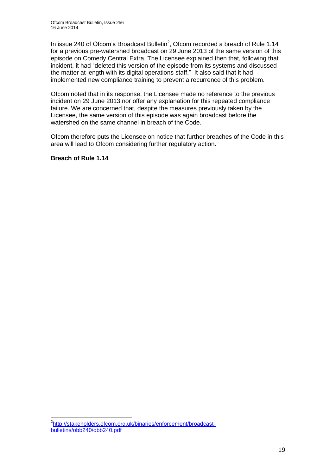In issue 240 of Ofcom's Broadcast Bulletin $^2$ , Ofcom recorded a breach of Rule 1.14 for a previous pre-watershed broadcast on 29 June 2013 of the same version of this episode on Comedy Central Extra. The Licensee explained then that, following that incident, it had "deleted this version of the episode from its systems and discussed the matter at length with its digital operations staff." It also said that it had implemented new compliance training to prevent a recurrence of this problem.

Ofcom noted that in its response, the Licensee made no reference to the previous incident on 29 June 2013 nor offer any explanation for this repeated compliance failure. We are concerned that, despite the measures previously taken by the Licensee, the same version of this episode was again broadcast before the watershed on the same channel in breach of the Code.

Ofcom therefore puts the Licensee on notice that further breaches of the Code in this area will lead to Ofcom considering further regulatory action.

**Breach of Rule 1.14**

<sup>1</sup> <sup>2</sup>[http://stakeholders.ofcom.org.uk/binaries/enforcement/broadcast](http://stakeholders.ofcom.org.uk/binaries/enforcement/broadcast-bulletins/obb240/obb240.pdf)[bulletins/obb240/obb240.pdf](http://stakeholders.ofcom.org.uk/binaries/enforcement/broadcast-bulletins/obb240/obb240.pdf)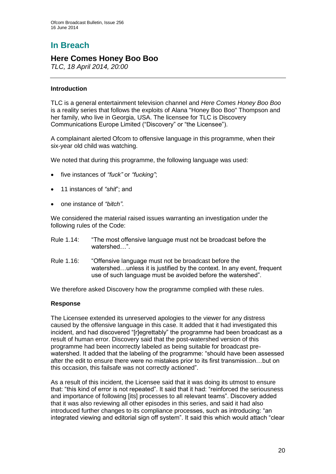# **In Breach**

### **Here Comes Honey Boo Boo**

*TLC, 18 April 2014, 20:00*

#### **Introduction**

TLC is a general entertainment television channel and *Here Comes Honey Boo Boo*  is a reality series that follows the exploits of Alana "Honey Boo Boo" Thompson and her family, who live in Georgia, USA. The licensee for TLC is Discovery Communications Europe Limited ("Discovery" or "the Licensee").

A complainant alerted Ofcom to offensive language in this programme, when their six-year old child was watching.

We noted that during this programme, the following language was used:

- five instances of *"fuck"* or *"fucking"*;
- 11 instances of *"shit*"; and
- one instance of *"bitch"*.

We considered the material raised issues warranting an investigation under the following rules of the Code:

- Rule 1.14: "The most offensive language must not be broadcast before the watershed "
- Rule 1.16: "Offensive language must not be broadcast before the watershed...unless it is justified by the context. In any event, frequent use of such language must be avoided before the watershed".

We therefore asked Discovery how the programme complied with these rules.

#### **Response**

The Licensee extended its unreserved apologies to the viewer for any distress caused by the offensive language in this case. It added that it had investigated this incident, and had discovered "[r]egrettably" the programme had been broadcast as a result of human error. Discovery said that the post-watershed version of this programme had been incorrectly labeled as being suitable for broadcast prewatershed. It added that the labeling of the programme: "should have been assessed after the edit to ensure there were no mistakes prior to its first transmission…but on this occasion, this failsafe was not correctly actioned".

As a result of this incident, the Licensee said that it was doing its utmost to ensure that: "this kind of error is not repeated". It said that it had: "reinforced the seriousness and importance of following [its] processes to all relevant teams". Discovery added that it was also reviewing all other episodes in this series, and said it had also introduced further changes to its compliance processes, such as introducing: "an integrated viewing and editorial sign off system". It said this which would attach "clear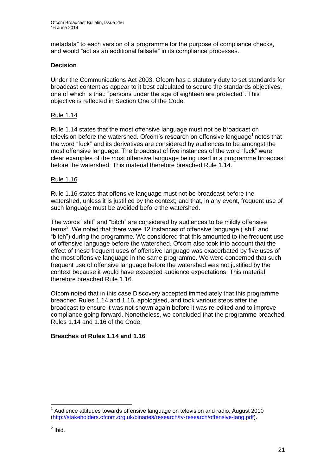metadata" to each version of a programme for the purpose of compliance checks, and would "act as an additional failsafe" in its compliance processes.

#### **Decision**

Under the Communications Act 2003, Ofcom has a statutory duty to set standards for broadcast content as appear to it best calculated to secure the standards objectives, one of which is that: "persons under the age of eighteen are protected". This objective is reflected in Section One of the Code.

#### Rule 1.14

Rule 1.14 states that the most offensive language must not be broadcast on television before the watershed. Ofcom's research on offensive language<sup>1</sup> notes that the word "fuck" and its derivatives are considered by audiences to be amongst the most offensive language. The broadcast of five instances of the word "fuck" were clear examples of the most offensive language being used in a programme broadcast before the watershed. This material therefore breached Rule 1.14.

#### Rule 1.16

Rule 1.16 states that offensive language must not be broadcast before the watershed, unless it is justified by the context; and that, in any event, frequent use of such language must be avoided before the watershed.

The words "shit" and "bitch" are considered by audiences to be mildly offensive terms<sup>2</sup>. We noted that there were 12 instances of offensive language ("shit" and "bitch") during the programme. We considered that this amounted to the frequent use of offensive language before the watershed. Ofcom also took into account that the effect of these frequent uses of offensive language was exacerbated by five uses of the most offensive language in the same programme. We were concerned that such frequent use of offensive language before the watershed was not justified by the context because it would have exceeded audience expectations. This material therefore breached Rule 1.16.

Ofcom noted that in this case Discovery accepted immediately that this programme breached Rules 1.14 and 1.16, apologised, and took various steps after the broadcast to ensure it was not shown again before it was re-edited and to improve compliance going forward. Nonetheless, we concluded that the programme breached Rules 1.14 and 1.16 of the Code.

#### **Breaches of Rules 1.14 and 1.16**

<sup>1</sup> 1 Audience attitudes towards offensive language on television and radio, August 2010 [\(http://stakeholders.ofcom.org.uk/binaries/research/tv-research/offensive-lang.pdf\)](http://stakeholders.ofcom.org.uk/binaries/research/tv-research/offensive-lang.pdf).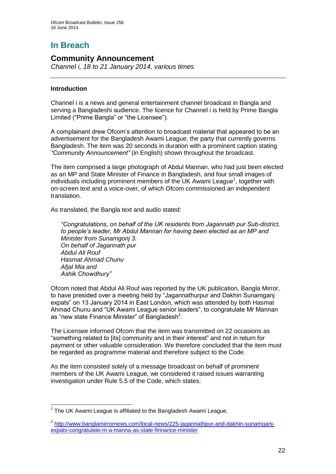# **In Breach**

#### **Community Announcement**

*Channel i, 18 to 21 January 2014, various times*

#### **Introduction**

Channel i is a news and general entertainment channel broadcast in Bangla and serving a Bangladeshi audience. The licence for Channel i is held by Prime Bangla Limited ("Prime Bangla" or "the Licensee").

A complainant drew Ofcom's attention to broadcast material that appeared to be an advertisement for the Bangladesh Awami League, the party that currently governs Bangladesh. The item was 20 seconds in duration with a prominent caption stating *"Community Announcement"* (in English) shown throughout the broadcast.

The item comprised a large photograph of Abdul Mannan, who had just been elected as an MP and State Minister of Finance in Bangladesh, and four small images of individuals including prominent members of the UK Awami League<sup>1</sup>, together with on-screen text and a voice-over, of which Ofcom commissioned an independent translation.

As translated, the Bangla text and audio stated:

*"Congratulations, on behalf of the UK residents from Jagannath pur Sub-district, to people's leader, Mr Abdul Mannan for having been elected as an MP and Minister from Sunamgonj 3. On behalf of Jagannath pur Abdul Ali Rouf Hasmat Ahmad Chunu Afjal Mia and Ashik Chowdhury"*

Ofcom noted that Abdul Ali Rouf was reported by the UK publication, Bangla Mirror, to have presided over a meeting held by "Jagannathurpur and Dakhin Sunamganj expats" on 13 January 2014 in East London, which was attended by both Hasmat Ahmad Chunu and "UK Awami League senior leaders", to congratulate Mr Mannan as "new state Finance Minister" of Bangladesh $2$ .

The Licensee informed Ofcom that the item was transmitted on 22 occasions as "something related to [its] community and in their interest" and not in return for payment or other valuable consideration. We therefore concluded that the item must be regarded as programme material and therefore subject to the Code.

As the item consisted solely of a message broadcast on behalf of prominent members of the UK Awami League, we considered it raised issues warranting investigation under Rule 5.5 of the Code, which states:

<sup>1</sup> <sup>1</sup> The UK Awami League is affiliated to the Bangladesh Awami League.

<sup>&</sup>lt;sup>2</sup> [http://www.banglamirrornews.com/local-news/225-jagannathpur-and-dakhin-sunamganj](http://www.banglamirrornews.com/local-news/225-jagannathpur-and-dakhin-sunamganj-expats-congratulate-m-a-manna-as-state-finnance-minister)[expats-congratulate-m-a-manna-as-state-finnance-minister](http://www.banglamirrornews.com/local-news/225-jagannathpur-and-dakhin-sunamganj-expats-congratulate-m-a-manna-as-state-finnance-minister)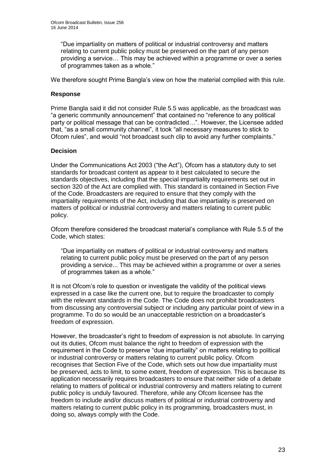"Due impartiality on matters of political or industrial controversy and matters relating to current public policy must be preserved on the part of any person providing a service… This may be achieved within a programme or over a series of programmes taken as a whole."

We therefore sought Prime Bangla's view on how the material complied with this rule.

#### **Response**

Prime Bangla said it did not consider Rule 5.5 was applicable, as the broadcast was "a generic community announcement" that contained no "reference to any political party or political message that can be contradicted…". However, the Licensee added that, "as a small community channel", it took "all necessary measures to stick to Ofcom rules", and would "not broadcast such clip to avoid any further complaints."

#### **Decision**

Under the Communications Act 2003 ("the Act"), Ofcom has a statutory duty to set standards for broadcast content as appear to it best calculated to secure the standards objectives, including that the special impartiality requirements set out in section 320 of the Act are complied with. This standard is contained in Section Five of the Code. Broadcasters are required to ensure that they comply with the impartiality requirements of the Act, including that due impartiality is preserved on matters of political or industrial controversy and matters relating to current public policy.

Ofcom therefore considered the broadcast material's compliance with Rule 5.5 of the Code, which states:

"Due impartiality on matters of political or industrial controversy and matters relating to current public policy must be preserved on the part of any person providing a service... This may be achieved within a programme or over a series of programmes taken as a whole."

It is not Ofcom's role to question or investigate the validity of the political views expressed in a case like the current one, but to require the broadcaster to comply with the relevant standards in the Code. The Code does not prohibit broadcasters from discussing any controversial subject or including any particular point of view in a programme. To do so would be an unacceptable restriction on a broadcaster's freedom of expression.

However, the broadcaster's right to freedom of expression is not absolute. In carrying out its duties, Ofcom must balance the right to freedom of expression with the requirement in the Code to preserve "due impartiality" on matters relating to political or industrial controversy or matters relating to current public policy. Ofcom recognises that Section Five of the Code, which sets out how due impartiality must be preserved, acts to limit, to some extent, freedom of expression. This is because its application necessarily requires broadcasters to ensure that neither side of a debate relating to matters of political or industrial controversy and matters relating to current public policy is unduly favoured. Therefore, while any Ofcom licensee has the freedom to include and/or discuss matters of political or industrial controversy and matters relating to current public policy in its programming, broadcasters must, in doing so, always comply with the Code.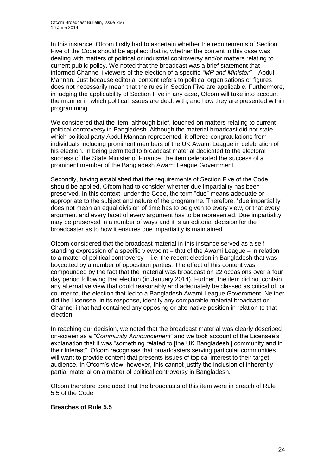In this instance, Ofcom firstly had to ascertain whether the requirements of Section Five of the Code should be applied: that is, whether the content in this case was dealing with matters of political or industrial controversy and/or matters relating to current public policy. We noted that the broadcast was a brief statement that informed Channel i viewers of the election of a specific *"MP and Minister"* – Abdul Mannan. Just because editorial content refers to political organisations or figures does not necessarily mean that the rules in Section Five are applicable. Furthermore, in judging the applicability of Section Five in any case, Ofcom will take into account the manner in which political issues are dealt with, and how they are presented within programming.

We considered that the item, although brief, touched on matters relating to current political controversy in Bangladesh. Although the material broadcast did not state which political party Abdul Mannan represented, it offered congratulations from individuals including prominent members of the UK Awami League in celebration of his election. In being permitted to broadcast material dedicated to the electoral success of the State Minister of Finance, the item celebrated the success of a prominent member of the Bangladesh Awami League Government.

Secondly, having established that the requirements of Section Five of the Code should be applied, Ofcom had to consider whether due impartiality has been preserved. In this context, under the Code, the term "due" means adequate or appropriate to the subject and nature of the programme. Therefore, "due impartiality" does not mean an equal division of time has to be given to every view, or that every argument and every facet of every argument has to be represented. Due impartiality may be preserved in a number of ways and it is an editorial decision for the broadcaster as to how it ensures due impartiality is maintained.

Ofcom considered that the broadcast material in this instance served as a selfstanding expression of a specific viewpoint – that of the Awami League – in relation to a matter of political controversy – i.e. the recent election in Bangladesh that was boycotted by a number of opposition parties. The effect of this content was compounded by the fact that the material was broadcast on 22 occasions over a four day period following that election (in January 2014). Further, the item did not contain any alternative view that could reasonably and adequately be classed as critical of, or counter to, the election that led to a Bangladesh Awami League Government. Neither did the Licensee, in its response, identify any comparable material broadcast on Channel i that had contained any opposing or alternative position in relation to that election.

In reaching our decision, we noted that the broadcast material was clearly described on-screen as a *"Community Announcement"* and we took account of the Licensee's explanation that it was "something related to [the UK Bangladeshi] community and in their interest". Ofcom recognises that broadcasters serving particular communities will want to provide content that presents issues of topical interest to their target audience. In Ofcom's view, however, this cannot justify the inclusion of inherently partial material on a matter of political controversy in Bangladesh.

Ofcom therefore concluded that the broadcasts of this item were in breach of Rule 5.5 of the Code.

#### **Breaches of Rule 5.5**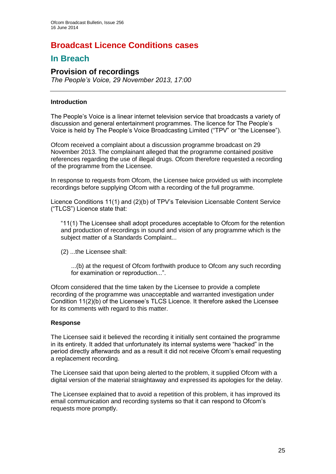## **Broadcast Licence Conditions cases**

## **In Breach**

#### **Provision of recordings**

*The People's Voice, 29 November 2013, 17:00*

#### **Introduction**

The People's Voice is a linear internet television service that broadcasts a variety of discussion and general entertainment programmes. The licence for The People's Voice is held by The People's Voice Broadcasting Limited ("TPV" or "the Licensee").

Ofcom received a complaint about a discussion programme broadcast on 29 November 2013. The complainant alleged that the programme contained positive references regarding the use of illegal drugs. Ofcom therefore requested a recording of the programme from the Licensee.

In response to requests from Ofcom, the Licensee twice provided us with incomplete recordings before supplying Ofcom with a recording of the full programme.

Licence Conditions 11(1) and (2)(b) of TPV's Television Licensable Content Service ("TLCS") Licence state that:

"11(1) The Licensee shall adopt procedures acceptable to Ofcom for the retention and production of recordings in sound and vision of any programme which is the subject matter of a Standards Complaint...

(2) ...the Licensee shall:

...(b) at the request of Ofcom forthwith produce to Ofcom any such recording for examination or reproduction...".

Ofcom considered that the time taken by the Licensee to provide a complete recording of the programme was unacceptable and warranted investigation under Condition 11(2)(b) of the Licensee's TLCS Licence. It therefore asked the Licensee for its comments with regard to this matter.

#### **Response**

The Licensee said it believed the recording it initially sent contained the programme in its entirety. It added that unfortunately its internal systems were "hacked" in the period directly afterwards and as a result it did not receive Ofcom's email requesting a replacement recording.

The Licensee said that upon being alerted to the problem, it supplied Ofcom with a digital version of the material straightaway and expressed its apologies for the delay.

The Licensee explained that to avoid a repetition of this problem, it has improved its email communication and recording systems so that it can respond to Ofcom's requests more promptly.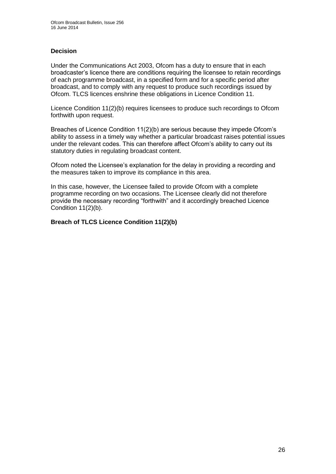#### **Decision**

Under the Communications Act 2003, Ofcom has a duty to ensure that in each broadcaster's licence there are conditions requiring the licensee to retain recordings of each programme broadcast, in a specified form and for a specific period after broadcast, and to comply with any request to produce such recordings issued by Ofcom. TLCS licences enshrine these obligations in Licence Condition 11.

Licence Condition 11(2)(b) requires licensees to produce such recordings to Ofcom forthwith upon request.

Breaches of Licence Condition 11(2)(b) are serious because they impede Ofcom's ability to assess in a timely way whether a particular broadcast raises potential issues under the relevant codes. This can therefore affect Ofcom's ability to carry out its statutory duties in regulating broadcast content.

Ofcom noted the Licensee's explanation for the delay in providing a recording and the measures taken to improve its compliance in this area.

In this case, however, the Licensee failed to provide Ofcom with a complete programme recording on two occasions. The Licensee clearly did not therefore provide the necessary recording "forthwith" and it accordingly breached Licence Condition 11(2)(b).

#### **Breach of TLCS Licence Condition 11(2)(b)**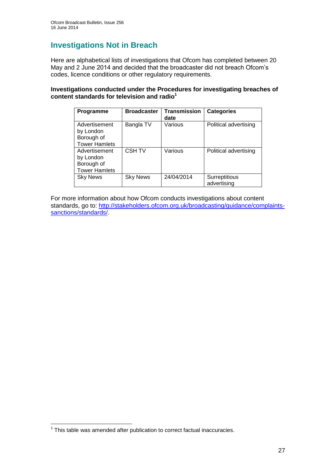## **Investigations Not in Breach**

Here are alphabetical lists of investigations that Ofcom has completed between 20 May and 2 June 2014 and decided that the broadcaster did not breach Ofcom's codes, licence conditions or other regulatory requirements.

#### **Investigations conducted under the Procedures for investigating breaches of content standards for television and radio<sup>1</sup>**

| <b>Programme</b>                                                 | <b>Broadcaster</b> | <b>Transmission</b><br>date | <b>Categories</b>            |
|------------------------------------------------------------------|--------------------|-----------------------------|------------------------------|
| Advertisement<br>by London<br>Borough of<br><b>Tower Hamlets</b> | Bangla TV          | Various                     | Political advertising        |
| Advertisement<br>by London<br>Borough of<br><b>Tower Hamlets</b> | <b>CSH TV</b>      | Various                     | Political advertising        |
| <b>Sky News</b>                                                  | <b>Sky News</b>    | 24/04/2014                  | Surreptitious<br>advertising |

For more information about how Ofcom conducts investigations about content standards, go to: [http://stakeholders.ofcom.org.uk/broadcasting/guidance/complaints](http://stakeholders.ofcom.org.uk/broadcasting/guidance/complaints-sanctions/standards/)[sanctions/standards/.](http://stakeholders.ofcom.org.uk/broadcasting/guidance/complaints-sanctions/standards/)

 1 This table was amended after publication to correct factual inaccuracies.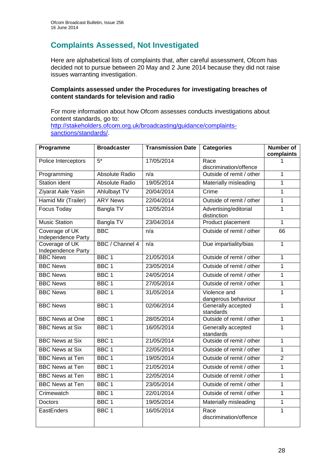## **Complaints Assessed, Not Investigated**

Here are alphabetical lists of complaints that, after careful assessment, Ofcom has decided not to pursue between 20 May and 2 June 2014 because they did not raise issues warranting investigation.

#### **Complaints assessed under the Procedures for investigating breaches of content standards for television and radio**

For more information about how Ofcom assesses conducts investigations about content standards, go to: [http://stakeholders.ofcom.org.uk/broadcasting/guidance/complaints](http://stakeholders.ofcom.org.uk/broadcasting/guidance/complaints-sanctions/standards/)[sanctions/standards/.](http://stakeholders.ofcom.org.uk/broadcasting/guidance/complaints-sanctions/standards/)

| Programme                            | <b>Broadcaster</b>  | <b>Transmission Date</b> | <b>Categories</b>                    | Number of<br>complaints |
|--------------------------------------|---------------------|--------------------------|--------------------------------------|-------------------------|
| Police Interceptors                  | $5*$                | 17/05/2014               | Race<br>discrimination/offence       |                         |
| Programming                          | Absolute Radio      | n/a                      | Outside of remit / other             | $\mathbf{1}$            |
| Station ident                        | Absolute Radio      | 19/05/2014               | Materially misleading                | $\mathbf{1}$            |
| Ziyarat Aale Yasin                   | <b>Ahlulbayt TV</b> | 20/04/2014               | Crime                                | $\mathbf{1}$            |
| Hamid Mir (Trailer)                  | <b>ARY News</b>     | 22/04/2014               | Outside of remit / other             | $\overline{1}$          |
| <b>Focus Today</b>                   | <b>Bangla TV</b>    | 12/05/2014               | Advertising/editorial<br>distinction | $\mathbf{1}$            |
| <b>Music Station</b>                 | Bangla TV           | 23/04/2014               | Product placement                    | $\mathbf{1}$            |
| Coverage of UK<br>Independence Party | <b>BBC</b>          | n/a                      | Outside of remit / other             | 66                      |
| Coverage of UK<br>Independence Party | BBC / Channel 4     | n/a                      | Due impartiality/bias                | $\overline{1}$          |
| <b>BBC News</b>                      | BBC <sub>1</sub>    | 21/05/2014               | Outside of remit / other             | $\overline{1}$          |
| <b>BBC News</b>                      | BBC <sub>1</sub>    | 23/05/2014               | Outside of remit / other             | $\overline{1}$          |
| <b>BBC News</b>                      | BBC <sub>1</sub>    | 24/05/2014               | Outside of remit / other             | $\mathbf{1}$            |
| <b>BBC News</b>                      | BBC <sub>1</sub>    | 27/05/2014               | Outside of remit / other             | $\mathbf{1}$            |
| <b>BBC News</b>                      | BBC 1               | 31/05/2014               | Violence and<br>dangerous behaviour  | $\mathbf{1}$            |
| <b>BBC News</b>                      | BBC <sub>1</sub>    | 02/06/2014               | Generally accepted<br>standards      | 1                       |
| <b>BBC News at One</b>               | BBC <sub>1</sub>    | 28/05/2014               | Outside of remit / other             | $\overline{1}$          |
| <b>BBC News at Six</b>               | BBC <sub>1</sub>    | 16/05/2014               | Generally accepted<br>standards      | $\mathbf{1}$            |
| <b>BBC News at Six</b>               | BBC <sub>1</sub>    | 21/05/2014               | Outside of remit / other             | $\mathbf{1}$            |
| <b>BBC News at Six</b>               | BBC <sub>1</sub>    | 22/05/2014               | Outside of remit / other             | $\overline{1}$          |
| <b>BBC News at Ten</b>               | BBC <sub>1</sub>    | 19/05/2014               | Outside of remit / other             | $\overline{2}$          |
| <b>BBC News at Ten</b>               | BBC <sub>1</sub>    | 21/05/2014               | Outside of remit / other             | $\mathbf{1}$            |
| <b>BBC News at Ten</b>               | BBC <sub>1</sub>    | 22/05/2014               | Outside of remit / other             | $\overline{1}$          |
| <b>BBC News at Ten</b>               | BBC <sub>1</sub>    | 23/05/2014               | Outside of remit / other             | $\mathbf{1}$            |
| Crimewatch                           | BBC <sub>1</sub>    | 22/01/2014               | Outside of remit / other             | $\overline{1}$          |
| <b>Doctors</b>                       | BBC <sub>1</sub>    | 19/05/2014               | Materially misleading                | $\mathbf{1}$            |
| EastEnders                           | BBC <sub>1</sub>    | 16/05/2014               | Race<br>discrimination/offence       | $\mathbf{1}$            |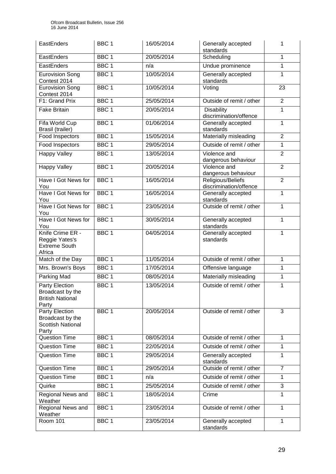| EastEnders                                                              | BBC <sub>1</sub> | 16/05/2014 | Generally accepted<br>standards             | 1              |
|-------------------------------------------------------------------------|------------------|------------|---------------------------------------------|----------------|
| EastEnders                                                              | BBC <sub>1</sub> | 20/05/2014 | Scheduling                                  | $\mathbf{1}$   |
| EastEnders                                                              | BBC <sub>1</sub> | n/a        | Undue prominence                            | 1              |
| <b>Eurovision Song</b><br>Contest 2014                                  | BBC <sub>1</sub> | 10/05/2014 | Generally accepted<br>standards             | $\mathbf{1}$   |
| <b>Eurovision Song</b><br>Contest 2014                                  | BBC <sub>1</sub> | 10/05/2014 | Voting                                      | 23             |
| F1: Grand Prix                                                          | BBC <sub>1</sub> | 25/05/2014 | Outside of remit / other                    | $\overline{2}$ |
| <b>Fake Britain</b>                                                     | BBC <sub>1</sub> | 20/05/2014 | Disability<br>discrimination/offence        | 1              |
| Fifa World Cup<br>Brasil (trailer)                                      | BBC <sub>1</sub> | 01/06/2014 | Generally accepted<br>standards             | $\mathbf{1}$   |
| Food Inspectors                                                         | BBC <sub>1</sub> | 15/05/2014 | Materially misleading                       | $\overline{2}$ |
| Food Inspectors                                                         | BBC <sub>1</sub> | 29/05/2014 | Outside of remit / other                    | $\mathbf{1}$   |
| <b>Happy Valley</b>                                                     | BBC <sub>1</sub> | 13/05/2014 | Violence and<br>dangerous behaviour         | $\overline{2}$ |
| <b>Happy Valley</b>                                                     | BBC <sub>1</sub> | 20/05/2014 | Violence and<br>dangerous behaviour         | $\overline{2}$ |
| Have I Got News for<br>You                                              | BBC <sub>1</sub> | 16/05/2014 | Religious/Beliefs<br>discrimination/offence | $\overline{2}$ |
| Have I Got News for<br>You                                              | BBC <sub>1</sub> | 16/05/2014 | Generally accepted<br>standards             | $\mathbf{1}$   |
| Have I Got News for<br>You                                              | BBC <sub>1</sub> | 23/05/2014 | Outside of remit / other                    | $\mathbf{1}$   |
| Have I Got News for<br>You                                              | BBC <sub>1</sub> | 30/05/2014 | Generally accepted<br>standards             | $\mathbf{1}$   |
| Knife Crime ER -<br>Reggie Yates's<br><b>Extreme South</b><br>Africa    | BBC <sub>1</sub> | 04/05/2014 | Generally accepted<br>standards             | $\mathbf{1}$   |
| Match of the Day                                                        | BBC <sub>1</sub> | 11/05/2014 | Outside of remit / other                    | $\mathbf{1}$   |
| Mrs. Brown's Boys                                                       | BBC <sub>1</sub> | 17/05/2014 | Offensive language                          | 1              |
| Parking Mad                                                             | BBC <sub>1</sub> | 08/05/2014 | Materially misleading                       | $\mathbf 1$    |
| Party Election<br>Broadcast by the<br><b>British National</b><br>Party  | BBC <sub>1</sub> | 13/05/2014 | Outside of remit / other                    | 1              |
| Party Election<br>Broadcast by the<br><b>Scottish National</b><br>Party | BBC <sub>1</sub> | 20/05/2014 | Outside of remit / other                    | 3              |
| <b>Question Time</b>                                                    | BBC <sub>1</sub> | 08/05/2014 | Outside of remit / other                    | $\mathbf{1}$   |
| <b>Question Time</b>                                                    | BBC <sub>1</sub> | 22/05/2014 | Outside of remit / other                    | $\mathbf{1}$   |
| <b>Question Time</b>                                                    | BBC <sub>1</sub> | 29/05/2014 | Generally accepted<br>standards             | 1              |
| <b>Question Time</b>                                                    | BBC <sub>1</sub> | 29/05/2014 | Outside of remit / other                    | $\overline{7}$ |
| <b>Question Time</b>                                                    | BBC <sub>1</sub> | n/a        | Outside of remit / other                    | 1              |
| Quirke                                                                  | BBC 1            | 25/05/2014 | Outside of remit / other                    | 3              |
| Regional News and<br>Weather                                            | BBC <sub>1</sub> | 18/05/2014 | Crime                                       | $\mathbf{1}$   |
| Regional News and<br>Weather                                            | BBC <sub>1</sub> | 23/05/2014 | Outside of remit / other                    | 1              |
| <b>Room 101</b>                                                         | BBC 1            | 23/05/2014 | Generally accepted<br>standards             | 1              |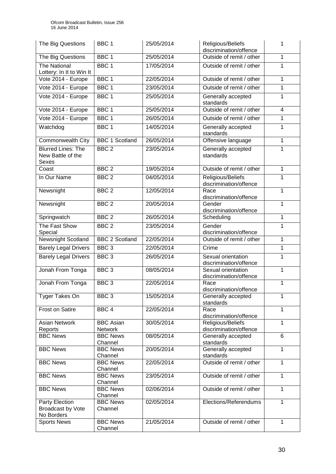| The Big Questions                                       | BBC <sub>1</sub>                   | 25/05/2014 | Religious/Beliefs<br>discrimination/offence  | 1              |
|---------------------------------------------------------|------------------------------------|------------|----------------------------------------------|----------------|
| The Big Questions                                       | BBC <sub>1</sub>                   | 25/05/2014 | Outside of remit / other                     | $\mathbf{1}$   |
| <b>The National</b><br>Lottery: In It to Win It         | BBC <sub>1</sub>                   | 17/05/2014 | Outside of remit / other                     | 1              |
| Vote 2014 - Europe                                      | BBC <sub>1</sub>                   | 22/05/2014 | Outside of remit / other                     | $\mathbf{1}$   |
| Vote 2014 - Europe                                      | BBC <sub>1</sub>                   | 23/05/2014 | Outside of remit / other                     | 1              |
| Vote 2014 - Europe                                      | BBC <sub>1</sub>                   | 25/05/2014 | Generally accepted<br>standards              | 1              |
| Vote 2014 - Europe                                      | BBC <sub>1</sub>                   | 25/05/2014 | Outside of remit / other                     | $\overline{4}$ |
| Vote 2014 - Europe                                      | BBC <sub>1</sub>                   | 26/05/2014 | Outside of remit / other                     | 1              |
| Watchdog                                                | BBC <sub>1</sub>                   | 14/05/2014 | Generally accepted<br>standards              | $\mathbf{1}$   |
| <b>Commonwealth City</b>                                | <b>BBC 1 Scotland</b>              | 26/05/2014 | Offensive language                           | 1              |
| <b>Blurred Lines: The</b><br>New Battle of the<br>Sexes | BBC <sub>2</sub>                   | 23/05/2014 | Generally accepted<br>standards              | $\mathbf{1}$   |
| Coast                                                   | BBC <sub>2</sub>                   | 19/05/2014 | Outside of remit / other                     | $\overline{1}$ |
| In Our Name                                             | BBC <sub>2</sub>                   | 04/05/2014 | Religious/Beliefs<br>discrimination/offence  | 1              |
| Newsnight                                               | BBC <sub>2</sub>                   | 12/05/2014 | Race<br>discrimination/offence               | 1              |
| Newsnight                                               | BBC <sub>2</sub>                   | 20/05/2014 | Gender<br>discrimination/offence             | 1              |
| Springwatch                                             | BBC <sub>2</sub>                   | 26/05/2014 | Scheduling                                   | $\mathbf{1}$   |
| The Fast Show<br>Special                                | BBC <sub>2</sub>                   | 23/05/2014 | Gender<br>discrimination/offence             | $\mathbf{1}$   |
| Newsnight Scotland                                      | <b>BBC 2 Scotland</b>              | 22/05/2014 | Outside of remit / other                     | $\mathbf{1}$   |
| <b>Barely Legal Drivers</b>                             | BBC <sub>3</sub>                   | 22/05/2014 | Crime                                        | 1              |
| <b>Barely Legal Drivers</b>                             | BBC <sub>3</sub>                   | 26/05/2014 | Sexual orientation<br>discrimination/offence | 1              |
| Jonah From Tonga                                        | BBC <sub>3</sub>                   | 08/05/2014 | Sexual orientation<br>discrimination/offence | $\mathbf{1}$   |
| Jonah From Tonga                                        | BBC <sub>3</sub>                   | 22/05/2014 | Race<br>discrimination/offence               | 1              |
| Tyger Takes On                                          | BBC <sub>3</sub>                   | 15/05/2014 | Generally accepted<br>standards              | 1              |
| Frost on Satire                                         | BBC <sub>4</sub>                   | 22/05/2014 | Race<br>discrimination/offence               | 1              |
| Asian Network<br>Reports                                | <b>BBC Asian</b><br><b>Network</b> | 30/05/2014 | Religious/Beliefs<br>discrimination/offence  | 1              |
| <b>BBC News</b>                                         | <b>BBC News</b><br>Channel         | 08/05/2014 | Generally accepted<br>standards              | 6              |
| <b>BBC News</b>                                         | <b>BBC News</b><br>Channel         | 20/05/2014 | Generally accepted<br>standards              | 1              |
| <b>BBC News</b>                                         | <b>BBC News</b><br>Channel         | 22/05/2014 | Outside of remit / other                     | $\mathbf{1}$   |
| <b>BBC News</b>                                         | <b>BBC News</b><br>Channel         | 23/05/2014 | Outside of remit / other                     | $\mathbf{1}$   |
| <b>BBC News</b>                                         | <b>BBC News</b><br>Channel         | 02/06/2014 | Outside of remit / other                     | 1              |
| Party Election<br>Broadcast by Vote<br>No Borders       | <b>BBC News</b><br>Channel         | 02/05/2014 | Elections/Referendums                        | $\mathbf{1}$   |
| <b>Sports News</b>                                      | <b>BBC</b> News<br>Channel         | 21/05/2014 | Outside of remit / other                     | $\mathbf{1}$   |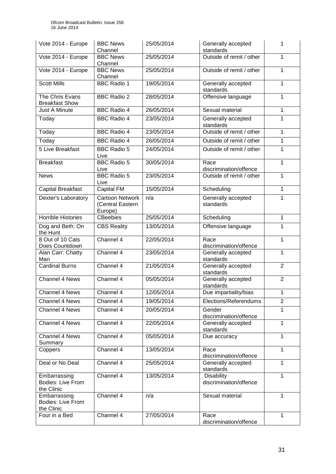| Vote 2014 - Europe                              | <b>BBC News</b><br>Channel                            | 25/05/2014 | Generally accepted<br>standards             | 1              |
|-------------------------------------------------|-------------------------------------------------------|------------|---------------------------------------------|----------------|
| Vote 2014 - Europe                              | <b>BBC News</b><br>Channel                            | 25/05/2014 | Outside of remit / other                    | $\mathbf{1}$   |
| Vote 2014 - Europe                              | <b>BBC News</b><br>Channel                            | 25/05/2014 | Outside of remit / other                    | 1              |
| <b>Scott Mills</b>                              | <b>BBC Radio 1</b>                                    | 19/05/2014 | Generally accepted<br>standards             | 1              |
| The Chris Evans<br><b>Breakfast Show</b>        | <b>BBC Radio 2</b>                                    | 28/05/2014 | Offensive language                          | 1              |
| <b>Just A Minute</b>                            | <b>BBC Radio 4</b>                                    | 26/05/2014 | Sexual material                             | 1              |
| Today                                           | <b>BBC</b> Radio 4                                    | 23/05/2014 | Generally accepted<br>standards             | 1              |
| Today                                           | <b>BBC Radio 4</b>                                    | 23/05/2014 | Outside of remit / other                    | 1              |
| Today                                           | <b>BBC Radio 4</b>                                    | 26/05/2014 | Outside of remit / other                    | $\mathbf{1}$   |
| 5 Live Breakfast                                | <b>BBC Radio 5</b><br>Live                            | 24/05/2014 | Outside of remit / other                    | $\mathbf{1}$   |
| <b>Breakfast</b>                                | <b>BBC Radio 5</b><br>Live                            | 30/05/2014 | Race<br>discrimination/offence              | $\mathbf{1}$   |
| <b>News</b>                                     | <b>BBC Radio 5</b><br>Live                            | 23/05/2014 | Outside of remit / other                    | 1              |
| <b>Capital Breakfast</b>                        | <b>Capital FM</b>                                     | 15/05/2014 | Scheduling                                  | $\mathbf{1}$   |
| Dexter's Laboratory                             | <b>Cartoon Network</b><br>(Central Eastern<br>Europe) | n/a        | Generally accepted<br>standards             | 1              |
| <b>Horrible Histories</b>                       | <b>CBeebies</b>                                       | 25/05/2014 | Scheduling                                  | 1              |
| Dog and Beth: On<br>the Hunt                    | <b>CBS Reality</b>                                    | 13/05/2014 | Offensive language                          | $\overline{1}$ |
| 8 Out of 10 Cats<br>Does Countdown              | Channel 4                                             | 22/05/2014 | Race<br>discrimination/offence              | $\mathbf{1}$   |
| Alan Carr: Chatty<br>Man                        | Channel 4                                             | 23/05/2014 | Generally accepted<br>standards             | 1              |
| <b>Cardinal Burns</b>                           | Channel 4                                             | 21/05/2014 | Generally accepted<br>standards             | $\overline{2}$ |
| <b>Channel 4 News</b>                           | Channel 4                                             | 05/05/2014 | Generally accepted<br>standards             | $\overline{2}$ |
| <b>Channel 4 News</b>                           | Channel 4                                             | 12/05/2014 | Due impartiality/bias                       | 1              |
| <b>Channel 4 News</b>                           | Channel 4                                             | 19/05/2014 | Elections/Referendums                       | $\overline{2}$ |
| Channel 4 News                                  | Channel 4                                             | 20/05/2014 | Gender<br>discrimination/offence            | $\mathbf{1}$   |
| Channel 4 News                                  | Channel 4                                             | 22/05/2014 | Generally accepted<br>standards             | 1              |
| Channel 4 News<br>Summary                       | Channel 4                                             | 05/05/2014 | Due accuracy                                | 1              |
| Coppers                                         | Channel 4                                             | 13/05/2014 | Race<br>discrimination/offence              | $\mathbf{1}$   |
| Deal or No Deal                                 | Channel 4                                             | 25/05/2014 | Generally accepted<br>standards             | 1              |
| Embarrassing<br>Bodies: Live From<br>the Clinic | Channel 4                                             | 13/05/2014 | <b>Disability</b><br>discrimination/offence | 1              |
| Embarrassing<br>Bodies: Live From<br>the Clinic | Channel 4                                             | n/a        | Sexual material                             | $\mathbf{1}$   |
| Four in a Bed                                   | Channel 4                                             | 27/05/2014 | Race<br>discrimination/offence              | $\mathbf{1}$   |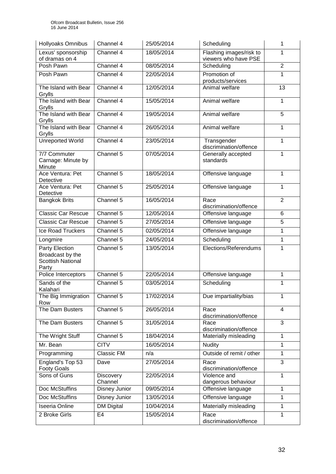| <b>Hollyoaks Omnibus</b>                                                | Channel 4            | 25/05/2014 | Scheduling                                      | 1              |
|-------------------------------------------------------------------------|----------------------|------------|-------------------------------------------------|----------------|
| Lexus' sponsorship<br>of dramas on 4                                    | Channel 4            | 18/05/2014 | Flashing images/risk to<br>viewers who have PSE | 1              |
| Posh Pawn                                                               | Channel 4            | 08/05/2014 | Scheduling                                      | $\overline{2}$ |
| Posh Pawn                                                               | Channel 4            | 22/05/2014 | Promotion of<br>products/services               | $\mathbf{1}$   |
| The Island with Bear<br>Grylls                                          | Channel 4            | 12/05/2014 | Animal welfare                                  | 13             |
| The Island with Bear<br>Grylls                                          | Channel 4            | 15/05/2014 | Animal welfare                                  | $\mathbf{1}$   |
| The Island with Bear<br>Grylls                                          | Channel 4            | 19/05/2014 | Animal welfare                                  | 5              |
| The Island with Bear<br>Grylls                                          | Channel 4            | 26/05/2014 | Animal welfare                                  | 1              |
| <b>Unreported World</b>                                                 | Channel 4            | 23/05/2014 | Transgender<br>discrimination/offence           | $\mathbf{1}$   |
| 7/7 Commuter<br>Carnage: Minute by<br>Minute                            | Channel 5            | 07/05/2014 | Generally accepted<br>standards                 | 1              |
| Ace Ventura: Pet<br>Detective                                           | Channel 5            | 18/05/2014 | Offensive language                              | 1              |
| Ace Ventura: Pet<br>Detective                                           | Channel 5            | 25/05/2014 | Offensive language                              | $\mathbf{1}$   |
| <b>Bangkok Brits</b>                                                    | Channel 5            | 16/05/2014 | Race<br>discrimination/offence                  | $\overline{2}$ |
| <b>Classic Car Rescue</b>                                               | Channel 5            | 12/05/2014 | Offensive language                              | 6              |
| <b>Classic Car Rescue</b>                                               | Channel 5            | 27/05/2014 | Offensive language                              | 5              |
| Ice Road Truckers                                                       | Channel 5            | 02/05/2014 | Offensive language                              | 1              |
| Longmire                                                                | Channel 5            | 24/05/2014 | Scheduling                                      | $\mathbf{1}$   |
| Party Election<br>Broadcast by the<br><b>Scottish National</b><br>Party | Channel 5            | 13/05/2014 | Elections/Referendums                           | 1              |
| Police Interceptors                                                     | Channel 5            | 22/05/2014 | Offensive language                              | 1              |
| Sands of the<br>Kalahari                                                | Channel 5            | 03/05/2014 | Scheduling                                      | 1              |
| The Big Immigration<br>Row                                              | Channel 5            | 17/02/2014 | Due impartiality/bias                           | 1              |
| The Dam Busters                                                         | Channel 5            | 26/05/2014 | Race<br>discrimination/offence                  | $\overline{4}$ |
| The Dam Busters                                                         | Channel 5            | 31/05/2014 | Race<br>discrimination/offence                  | 3              |
| The Wright Stuff                                                        | Channel 5            | 18/04/2014 | Materially misleading                           | 1              |
| Mr. Bean                                                                | <b>CITV</b>          | 16/05/2014 | <b>Nudity</b>                                   | $\mathbf{1}$   |
| Programming                                                             | Classic FM           | n/a        | Outside of remit / other                        | 1              |
| England's Top 53<br><b>Footy Goals</b>                                  | Dave                 | 27/05/2014 | Race<br>discrimination/offence                  | 3              |
| Sons of Guns                                                            | Discovery<br>Channel | 22/05/2014 | Violence and<br>dangerous behaviour             | 1              |
| Doc McStuffins                                                          | Disney Junior        | 09/05/2014 | Offensive language                              | 1              |
| Doc McStuffins                                                          | Disney Junior        | 13/05/2014 | Offensive language                              | 1              |
| Iseeria Online                                                          | <b>DM Digital</b>    | 10/04/2014 | Materially misleading                           | 1              |
| 2 Broke Girls                                                           | E4                   | 15/05/2014 | Race<br>discrimination/offence                  | $\mathbf{1}$   |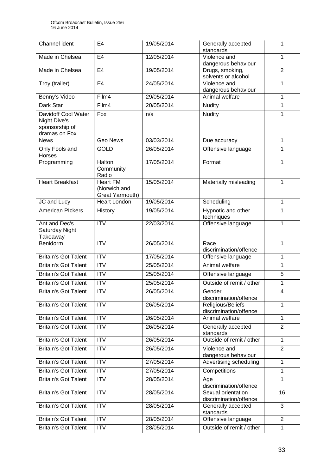| Channel ident                                                          | E <sub>4</sub>                                     | 19/05/2014 | Generally accepted<br>standards              | 1              |
|------------------------------------------------------------------------|----------------------------------------------------|------------|----------------------------------------------|----------------|
| Made in Chelsea                                                        | E <sub>4</sub>                                     | 12/05/2014 | Violence and<br>dangerous behaviour          | 1              |
| Made in Chelsea                                                        | E <sub>4</sub>                                     | 19/05/2014 | Drugs, smoking,<br>solvents or alcohol       | $\overline{2}$ |
| Troy (trailer)                                                         | E <sub>4</sub>                                     | 24/05/2014 | Violence and<br>dangerous behaviour          | $\mathbf{1}$   |
| Benny's Video                                                          | Film4                                              | 29/05/2014 | Animal welfare                               | 1              |
| Dark Star                                                              | Film4                                              | 20/05/2014 | <b>Nudity</b>                                | 1              |
| Davidoff Cool Water<br>Night Dive's<br>sponsorship of<br>dramas on Fox | Fox                                                | n/a        | <b>Nudity</b>                                | $\mathbf{1}$   |
| <b>News</b>                                                            | <b>Geo News</b>                                    | 03/03/2014 | Due accuracy                                 | 1              |
| Only Fools and<br>Horses                                               | <b>GOLD</b>                                        | 26/05/2014 | Offensive language                           | 1              |
| Programming                                                            | Halton<br>Community<br>Radio                       | 17/05/2014 | Format                                       | 1              |
| <b>Heart Breakfast</b>                                                 | <b>Heart FM</b><br>(Norwich and<br>Great Yarmouth) | 15/05/2014 | Materially misleading                        | 1              |
| JC and Lucy                                                            | <b>Heart London</b>                                | 19/05/2014 | Scheduling                                   | 1              |
| <b>American Plckers</b>                                                | History                                            | 19/05/2014 | Hypnotic and other<br>techniques             | 1              |
| Ant and Dec's<br>Saturday Night<br>Takeaway                            | $\overline{\text{IV}}$                             | 22/03/2014 | Offensive language                           | $\mathbf 1$    |
| Benidorm                                                               | <b>ITV</b>                                         | 26/05/2014 | Race<br>discrimination/offence               | 1              |
| <b>Britain's Got Talent</b>                                            | <b>ITV</b>                                         | 17/05/2014 | Offensive language                           | 1              |
| <b>Britain's Got Talent</b>                                            | <b>ITV</b>                                         | 25/05/2014 | Animal welfare                               | 1              |
| <b>Britain's Got Talent</b>                                            | $\overline{ITV}$                                   | 25/05/2014 | Offensive language                           | 5              |
| <b>Britain's Got Talent</b>                                            | <b>ITV</b>                                         | 25/05/2014 | Outside of remit / other                     | 1              |
| <b>Britain's Got Talent</b>                                            | ITV                                                | 26/05/2014 | Gender<br>discrimination/offence             | 4              |
| <b>Britain's Got Talent</b>                                            | <b>ITV</b>                                         | 26/05/2014 | Religious/Beliefs<br>discrimination/offence  | 1              |
| <b>Britain's Got Talent</b>                                            | $\overline{ITV}$                                   | 26/05/2014 | Animal welfare                               | 1              |
| <b>Britain's Got Talent</b>                                            | <b>ITV</b>                                         | 26/05/2014 | Generally accepted<br>standards              | $\overline{2}$ |
| <b>Britain's Got Talent</b>                                            | <b>ITV</b>                                         | 26/05/2014 | Outside of remit / other                     | $\mathbf{1}$   |
| <b>Britain's Got Talent</b>                                            | $\overline{\text{ITV}}$                            | 26/05/2014 | Violence and<br>dangerous behaviour          | $\overline{2}$ |
| <b>Britain's Got Talent</b>                                            | $\overline{ITV}$                                   | 27/05/2014 | Advertising scheduling                       | 1              |
| <b>Britain's Got Talent</b>                                            | <b>ITV</b>                                         | 27/05/2014 | Competitions                                 | $\mathbf{1}$   |
| <b>Britain's Got Talent</b>                                            | <b>ITV</b>                                         | 28/05/2014 | Age<br>discrimination/offence                | $\mathbf 1$    |
| <b>Britain's Got Talent</b>                                            | <b>ITV</b>                                         | 28/05/2014 | Sexual orientation<br>discrimination/offence | 16             |
| <b>Britain's Got Talent</b>                                            | <b>ITV</b>                                         | 28/05/2014 | Generally accepted<br>standards              | $\overline{3}$ |
| <b>Britain's Got Talent</b>                                            | <b>ITV</b>                                         | 28/05/2014 | Offensive language                           | $\overline{2}$ |
| <b>Britain's Got Talent</b>                                            | <b>ITV</b>                                         | 28/05/2014 | Outside of remit / other                     | 1              |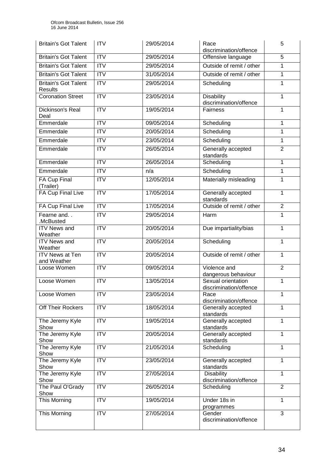| <b>Britain's Got Talent</b>                   | <b>ITV</b>              | 29/05/2014 | Race<br>discrimination/offence               | 5              |
|-----------------------------------------------|-------------------------|------------|----------------------------------------------|----------------|
| <b>Britain's Got Talent</b>                   | $\overline{ITV}$        | 29/05/2014 | Offensive language                           | 5              |
| <b>Britain's Got Talent</b>                   | ITV                     | 29/05/2014 | Outside of remit / other                     | 1              |
| <b>Britain's Got Talent</b>                   | $\overline{\text{IV}}$  | 31/05/2014 | Outside of remit / other                     | 1              |
| <b>Britain's Got Talent</b><br><b>Results</b> | ITV                     | 29/05/2014 | Scheduling                                   | $\mathbf{1}$   |
| <b>Coronation Street</b>                      | ITV                     | 23/05/2014 | <b>Disability</b><br>discrimination/offence  | $\mathbf{1}$   |
| <b>Dickinson's Real</b><br>Deal               | $\overline{IV}$         | 19/05/2014 | Fairness                                     | 1              |
| Emmerdale                                     | <b>ITV</b>              | 09/05/2014 | Scheduling                                   | 1              |
| Emmerdale                                     | $\overline{ITV}$        | 20/05/2014 | Scheduling                                   | 1              |
| Emmerdale                                     | $\overline{\text{ITV}}$ | 23/05/2014 | Scheduling                                   | $\mathbf{1}$   |
| Emmerdale                                     | <b>ITV</b>              | 26/05/2014 | Generally accepted<br>standards              | $\overline{2}$ |
| Emmerdale                                     | ITV                     | 26/05/2014 | Scheduling                                   | $\mathbf{1}$   |
| Emmerdale                                     | <b>ITV</b>              | n/a        | Scheduling                                   | $\mathbf{1}$   |
| FA Cup Final<br>(Trailer)                     | $\overline{\text{IV}}$  | 12/05/2014 | Materially misleading                        | $\mathbf{1}$   |
| <b>FA Cup Final Live</b>                      | ITV                     | 17/05/2014 | Generally accepted<br>standards              | $\mathbf{1}$   |
| <b>FA Cup Final Live</b>                      | $\overline{\text{IV}}$  | 17/05/2014 | Outside of remit / other                     | $\overline{2}$ |
| Fearne and. .<br>.McBusted                    | <b>ITV</b>              | 29/05/2014 | Harm                                         | $\mathbf{1}$   |
| <b>ITV News and</b><br>Weather                | <b>ITV</b>              | 20/05/2014 | Due impartiality/bias                        | $\mathbf{1}$   |
| <b>ITV News and</b><br>Weather                | ITV                     | 20/05/2014 | Scheduling                                   | $\mathbf{1}$   |
| <b>ITV News at Ten</b><br>and Weather         | $\overline{\text{IV}}$  | 20/05/2014 | Outside of remit / other                     | $\mathbf{1}$   |
| Loose Women                                   | $\overline{\text{IV}}$  | 09/05/2014 | Violence and<br>dangerous behaviour          | $\overline{2}$ |
| Loose Women                                   | $\overline{IV}$         | 13/05/2014 | Sexual orientation<br>discrimination/offence | 1              |
| Loose Women                                   | <b>ITV</b>              | 23/05/2014 | Race<br>discrimination/offence               | $\mathbf 1$    |
| Off Their Rockers                             | <b>ITV</b>              | 18/05/2014 | Generally accepted<br>standards              | $\mathbf{1}$   |
| The Jeremy Kyle<br>Show                       | <b>ITV</b>              | 19/05/2014 | Generally accepted<br>standards              | $\mathbf{1}$   |
| The Jeremy Kyle<br>Show                       | <b>ITV</b>              | 20/05/2014 | Generally accepted<br>standards              | $\mathbf{1}$   |
| The Jeremy Kyle<br>Show                       | <b>ITV</b>              | 21/05/2014 | Scheduling                                   | $\mathbf{1}$   |
| The Jeremy Kyle<br>Show                       | ITV                     | 23/05/2014 | Generally accepted<br>standards              | $\mathbf{1}$   |
| The Jeremy Kyle<br>Show                       | <b>ITV</b>              | 27/05/2014 | <b>Disability</b><br>discrimination/offence  | 1              |
| The Paul O'Grady<br>Show                      | ITV                     | 26/05/2014 | Scheduling                                   | $\overline{2}$ |
| This Morning                                  | <b>ITV</b>              | 19/05/2014 | Under 18s in<br>programmes                   | $\mathbf{1}$   |
| This Morning                                  | <b>ITV</b>              | 27/05/2014 | Gender<br>discrimination/offence             | 3              |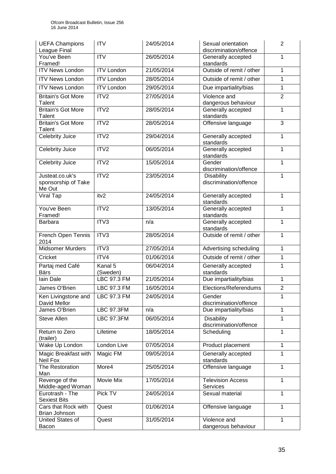| <b>UEFA Champions</b><br>League Final            | <b>ITV</b>                     | 24/05/2014 | Sexual orientation<br>discrimination/offence | $\overline{2}$ |
|--------------------------------------------------|--------------------------------|------------|----------------------------------------------|----------------|
| You've Been<br>Framed!                           | <b>ITV</b>                     | 26/05/2014 | Generally accepted<br>standards              | 1              |
| <b>ITV News London</b>                           | <b>ITV London</b>              | 21/05/2014 | Outside of remit / other                     | $\mathbf{1}$   |
| <b>ITV News London</b>                           | <b>ITV London</b>              | 28/05/2014 | Outside of remit / other                     | 1              |
| <b>ITV News London</b>                           | <b>ITV London</b>              | 29/05/2014 | Due impartiality/bias                        | 1              |
| <b>Britain's Got More</b><br>Talent              | ITV2                           | 27/05/2014 | Violence and<br>dangerous behaviour          | $\overline{2}$ |
| <b>Britain's Got More</b><br>Talent              | ITV2                           | 28/05/2014 | Generally accepted<br>standards              | 1              |
| <b>Britain's Got More</b><br>Talent              | ITV2                           | 28/05/2014 | Offensive language                           | 3              |
| <b>Celebrity Juice</b>                           | ITV2                           | 29/04/2014 | Generally accepted<br>standards              | $\mathbf{1}$   |
| <b>Celebrity Juice</b>                           | ITV <sub>2</sub>               | 06/05/2014 | Generally accepted<br>standards              | $\mathbf{1}$   |
| Celebrity Juice                                  | ITV2                           | 15/05/2014 | Gender<br>discrimination/offence             | 1              |
| Justeat.co.uk's<br>sponsorship of Take<br>Me Out | ITV2                           | 23/05/2014 | Disability<br>discrimination/offence         | $\mathbf{1}$   |
| Viral Tap                                        | itv2                           | 24/05/2014 | Generally accepted<br>standards              | $\mathbf{1}$   |
| You've Been<br>Framed!                           | $\overline{ITV2}$              | 13/05/2014 | Generally accepted<br>standards              | $\mathbf{1}$   |
| <b>Barbara</b>                                   | ITV3                           | n/a        | Generally accepted<br>standards              | $\mathbf{1}$   |
| French Open Tennis<br>2014                       | ITV3                           | 28/05/2014 | Outside of remit / other                     | $\mathbf{1}$   |
| <b>Midsomer Murders</b>                          | ITV3                           | 27/05/2014 | Advertising scheduling                       | $\mathbf{1}$   |
| Cricket                                          | ITV4                           | 01/06/2014 | Outside of remit / other                     | 1              |
| Partaj med Café                                  | Kanal $5$                      | 06/04/2014 | Generally accepted                           | $\mathbf{1}$   |
| <b>Bärs</b><br>lain Dale                         | (Sweden)<br><b>LBC 97.3 FM</b> | 21/05/2014 | standards<br>Due impartiality/bias           | 1              |
| James O'Brien                                    | <b>LBC 97.3 FM</b>             | 16/05/2014 | Elections/Referendums                        | $\overline{2}$ |
| Ken Livingstone and                              | LBC 97.3 FM                    | 24/05/2014 | Gender                                       | 1              |
| David Mellor                                     |                                |            | discrimination/offence                       |                |
| James O'Brien                                    | <b>LBC 97.3FM</b>              | n/a        | Due impartiality/bias                        | 1              |
| <b>Steve Allen</b>                               | <b>LBC 97.3FM</b>              | 06/05/2014 | Disability<br>discrimination/offence         | $\mathbf{1}$   |
| Return to Zero<br>(trailer)                      | Lifetime                       | 18/05/2014 | Scheduling                                   | $\mathbf{1}$   |
| Wake Up London                                   | London Live                    | 07/05/2014 | Product placement                            | 1              |
| Magic Breakfast with<br>Neil Fox                 | Magic FM                       | 09/05/2014 | Generally accepted<br>standards              | $\mathbf{1}$   |
| The Restoration<br>Man                           | More4                          | 25/05/2014 | Offensive language                           | 1              |
| Revenge of the<br>Middle-aged Woman              | Movie Mix                      | 17/05/2014 | <b>Television Access</b><br>Services         | 1              |
| Eurotrash - The<br><b>Sexiest Bits</b>           | Pick TV                        | 24/05/2014 | Sexual material                              | 1              |
| Cars that Rock with<br>Brian Johnson             | Quest                          | 01/06/2014 | Offensive language                           | 1              |
| United States of<br>Bacon                        | Quest                          | 31/05/2014 | Violence and<br>dangerous behaviour          | 1              |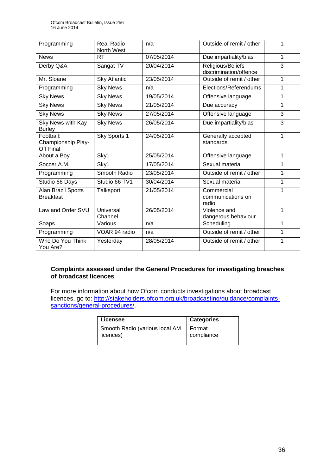| Programming                                  | Real Radio<br>North West    | n/a        | Outside of remit / other                    | 1              |
|----------------------------------------------|-----------------------------|------------|---------------------------------------------|----------------|
| <b>News</b>                                  | <b>RT</b>                   | 07/05/2014 | Due impartiality/bias                       | 1              |
| Derby Q&A                                    | Sangat TV                   | 20/04/2014 | Religious/Beliefs<br>discrimination/offence | $\overline{3}$ |
| Mr. Sloane                                   | <b>Sky Atlantic</b>         | 23/05/2014 | Outside of remit / other                    | 1              |
| Programming                                  | <b>Sky News</b>             | n/a        | Elections/Referendums                       | 1              |
| <b>Sky News</b>                              | <b>Sky News</b>             | 19/05/2014 | Offensive language                          | 1              |
| <b>Sky News</b>                              | <b>Sky News</b>             | 21/05/2014 | Due accuracy                                | 1              |
| <b>Sky News</b>                              | <b>Sky News</b>             | 27/05/2014 | Offensive language                          | 3              |
| Sky News with Kay<br><b>Burley</b>           | <b>Sky News</b>             | 26/05/2014 | Due impartiality/bias                       | 3              |
| Football:<br>Championship Play-<br>Off Final | Sky Sports 1                | 24/05/2014 | Generally accepted<br>standards             | 1              |
| About a Boy                                  | Sky1                        | 25/05/2014 | Offensive language                          | 1              |
| Soccer A.M.                                  | Sky1                        | 17/05/2014 | Sexual material                             | 1              |
| Programming                                  | Smooth Radio                | 23/05/2014 | Outside of remit / other                    | 1              |
| Studio 66 Days                               | Studio 66 TV1               | 30/04/2014 | Sexual material                             | 1              |
| Alan Brazil Sports<br><b>Breakfast</b>       | Talksport                   | 21/05/2014 | Commercial<br>communications on<br>radio    | 1              |
| Law and Order SVU                            | <b>Universal</b><br>Channel | 26/05/2014 | Violence and<br>dangerous behaviour         | 1              |
| Soaps                                        | Various                     | n/a        | Scheduling                                  | 1              |
| Programming                                  | VOAR 94 radio               | n/a        | Outside of remit / other                    | 1              |
| Who Do You Think<br>You Are?                 | Yesterday                   | 28/05/2014 | Outside of remit / other                    | 1              |

#### **Complaints assessed under the General Procedures for investigating breaches of broadcast licences**

For more information about how Ofcom conducts investigations about broadcast licences, go to: http://stakeholders.ofcom.org.uk/broadcasting/quidance/complaints[sanctions/general-procedures/.](http://stakeholders.ofcom.org.uk/broadcasting/guidance/complaints-sanctions/general-procedures/)

| Licensee                       | Categories |
|--------------------------------|------------|
| Smooth Radio (various local AM | I Format   |
| licences)                      | compliance |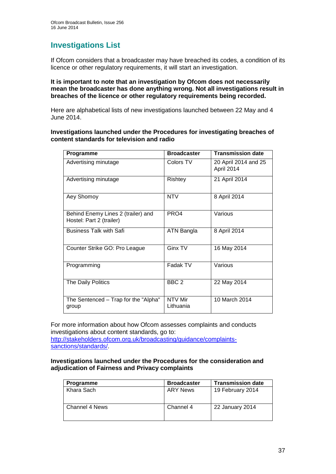## **Investigations List**

If Ofcom considers that a broadcaster may have breached its codes, a condition of its licence or other regulatory requirements, it will start an investigation.

#### **It is important to note that an investigation by Ofcom does not necessarily mean the broadcaster has done anything wrong. Not all investigations result in breaches of the licence or other regulatory requirements being recorded.**

Here are alphabetical lists of new investigations launched between 22 May and 4 June 2014.

#### **Investigations launched under the Procedures for investigating breaches of content standards for television and radio**

| Programme                                                      | <b>Broadcaster</b>   | <b>Transmission date</b>           |
|----------------------------------------------------------------|----------------------|------------------------------------|
| Advertising minutage                                           | Colors TV            | 20 April 2014 and 25<br>April 2014 |
| Advertising minutage                                           | Rishtey              | 21 April 2014                      |
| Aey Shomoy                                                     | <b>NTV</b>           | 8 April 2014                       |
| Behind Enemy Lines 2 (trailer) and<br>Hostel: Part 2 (trailer) | PRO4                 | Various                            |
| <b>Business Talk with Safi</b>                                 | ATN Bangla           | 8 April 2014                       |
| Counter Strike GO: Pro League                                  | Ginx TV              | 16 May 2014                        |
| Programming                                                    | Fadak TV             | Various                            |
| The Daily Politics                                             | BBC <sub>2</sub>     | 22 May 2014                        |
| The Sentenced - Trap for the "Alpha"<br>group                  | NTV Mir<br>Lithuania | 10 March 2014                      |

For more information about how Ofcom assesses complaints and conducts investigations about content standards, go to: [http://stakeholders.ofcom.org.uk/broadcasting/guidance/complaints](http://stakeholders.ofcom.org.uk/broadcasting/guidance/complaints-sanctions/standards/)[sanctions/standards/.](http://stakeholders.ofcom.org.uk/broadcasting/guidance/complaints-sanctions/standards/)

#### **Investigations launched under the Procedures for the consideration and adjudication of Fairness and Privacy complaints**

| <b>Programme</b> | <b>Broadcaster</b> | <b>Transmission date</b> |
|------------------|--------------------|--------------------------|
| Khara Sach       | <b>ARY News</b>    | 19 February 2014         |
| Channel 4 News   | Channel 4          | 22 January 2014          |